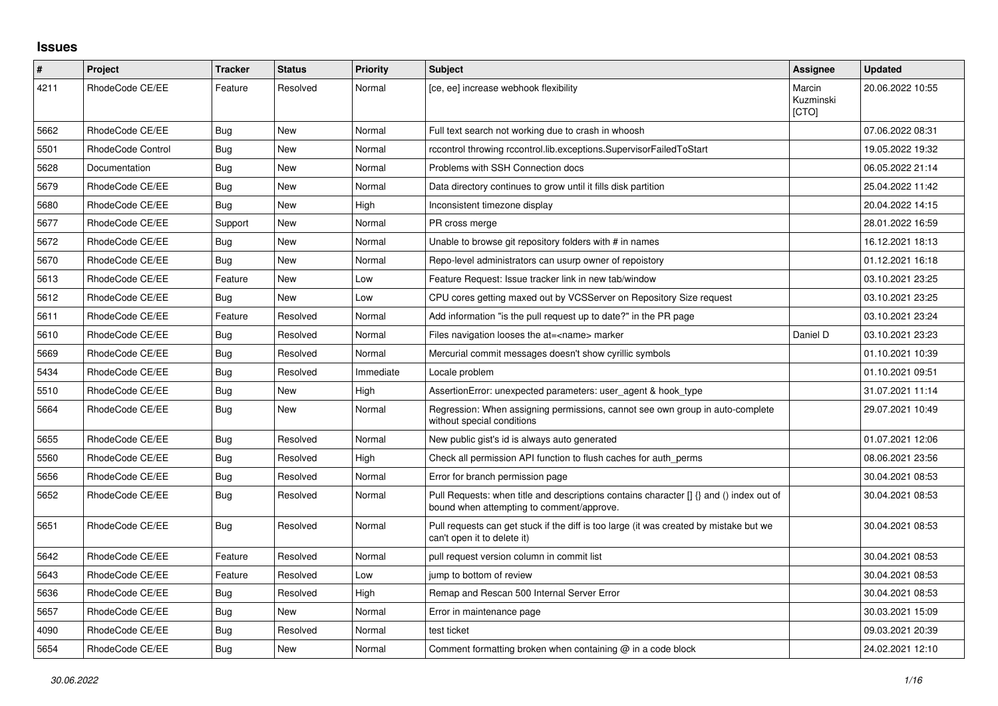## **Issues**

| $\sharp$ | <b>Project</b>    | <b>Tracker</b> | <b>Status</b> | <b>Priority</b> | <b>Subject</b>                                                                                                                       | Assignee                     | <b>Updated</b>   |
|----------|-------------------|----------------|---------------|-----------------|--------------------------------------------------------------------------------------------------------------------------------------|------------------------------|------------------|
| 4211     | RhodeCode CE/EE   | Feature        | Resolved      | Normal          | [ce, ee] increase webhook flexibility                                                                                                | Marcin<br>Kuzminski<br>[CTO] | 20.06.2022 10:55 |
| 5662     | RhodeCode CE/EE   | Bug            | New           | Normal          | Full text search not working due to crash in whoosh                                                                                  |                              | 07.06.2022 08:31 |
| 5501     | RhodeCode Control | Bug            | New           | Normal          | rccontrol throwing rccontrol.lib.exceptions.SupervisorFailedToStart                                                                  |                              | 19.05.2022 19:32 |
| 5628     | Documentation     | Bug            | New           | Normal          | Problems with SSH Connection docs                                                                                                    |                              | 06.05.2022 21:14 |
| 5679     | RhodeCode CE/EE   | Bug            | New           | Normal          | Data directory continues to grow until it fills disk partition                                                                       |                              | 25.04.2022 11:42 |
| 5680     | RhodeCode CE/EE   | Bug            | New           | High            | Inconsistent timezone display                                                                                                        |                              | 20.04.2022 14:15 |
| 5677     | RhodeCode CE/EE   | Support        | <b>New</b>    | Normal          | PR cross merge                                                                                                                       |                              | 28.01.2022 16:59 |
| 5672     | RhodeCode CE/EE   | <b>Bug</b>     | New           | Normal          | Unable to browse git repository folders with # in names                                                                              |                              | 16.12.2021 18:13 |
| 5670     | RhodeCode CE/EE   | <b>Bug</b>     | New           | Normal          | Repo-level administrators can usurp owner of repoistory                                                                              |                              | 01.12.2021 16:18 |
| 5613     | RhodeCode CE/EE   | Feature        | <b>New</b>    | Low             | Feature Request: Issue tracker link in new tab/window                                                                                |                              | 03.10.2021 23:25 |
| 5612     | RhodeCode CE/EE   | <b>Bug</b>     | <b>New</b>    | Low             | CPU cores getting maxed out by VCSServer on Repository Size request                                                                  |                              | 03.10.2021 23:25 |
| 5611     | RhodeCode CE/EE   | Feature        | Resolved      | Normal          | Add information "is the pull request up to date?" in the PR page                                                                     |                              | 03.10.2021 23:24 |
| 5610     | RhodeCode CE/EE   | Bug            | Resolved      | Normal          | Files navigation looses the at= <name> marker</name>                                                                                 | Daniel D                     | 03.10.2021 23:23 |
| 5669     | RhodeCode CE/EE   | <b>Bug</b>     | Resolved      | Normal          | Mercurial commit messages doesn't show cyrillic symbols                                                                              |                              | 01.10.2021 10:39 |
| 5434     | RhodeCode CE/EE   | Bug            | Resolved      | Immediate       | Locale problem                                                                                                                       |                              | 01.10.2021 09:51 |
| 5510     | RhodeCode CE/EE   | <b>Bug</b>     | <b>New</b>    | High            | AssertionError: unexpected parameters: user agent & hook type                                                                        |                              | 31.07.2021 11:14 |
| 5664     | RhodeCode CE/EE   | Bug            | <b>New</b>    | Normal          | Regression: When assigning permissions, cannot see own group in auto-complete<br>without special conditions                          |                              | 29.07.2021 10:49 |
| 5655     | RhodeCode CE/EE   | Bug            | Resolved      | Normal          | New public gist's id is always auto generated                                                                                        |                              | 01.07.2021 12:06 |
| 5560     | RhodeCode CE/EE   | Bug            | Resolved      | High            | Check all permission API function to flush caches for auth perms                                                                     |                              | 08.06.2021 23:56 |
| 5656     | RhodeCode CE/EE   | Bug            | Resolved      | Normal          | Error for branch permission page                                                                                                     |                              | 30.04.2021 08:53 |
| 5652     | RhodeCode CE/EE   | <b>Bug</b>     | Resolved      | Normal          | Pull Requests: when title and descriptions contains character [] {} and () index out of<br>bound when attempting to comment/approve. |                              | 30.04.2021 08:53 |
| 5651     | RhodeCode CE/EE   | Bug            | Resolved      | Normal          | Pull requests can get stuck if the diff is too large (it was created by mistake but we<br>can't open it to delete it)                |                              | 30.04.2021 08:53 |
| 5642     | RhodeCode CE/EE   | Feature        | Resolved      | Normal          | pull request version column in commit list                                                                                           |                              | 30.04.2021 08:53 |
| 5643     | RhodeCode CE/EE   | Feature        | Resolved      | Low             | jump to bottom of review                                                                                                             |                              | 30.04.2021 08:53 |
| 5636     | RhodeCode CE/EE   | <b>Bug</b>     | Resolved      | High            | Remap and Rescan 500 Internal Server Error                                                                                           |                              | 30.04.2021 08:53 |
| 5657     | RhodeCode CE/EE   | Bug            | <b>New</b>    | Normal          | Error in maintenance page                                                                                                            |                              | 30.03.2021 15:09 |
| 4090     | RhodeCode CE/EE   | Bug            | Resolved      | Normal          | test ticket                                                                                                                          |                              | 09.03.2021 20:39 |
| 5654     | RhodeCode CE/EE   | Bug            | New           | Normal          | Comment formatting broken when containing $@$ in a code block                                                                        |                              | 24.02.2021 12:10 |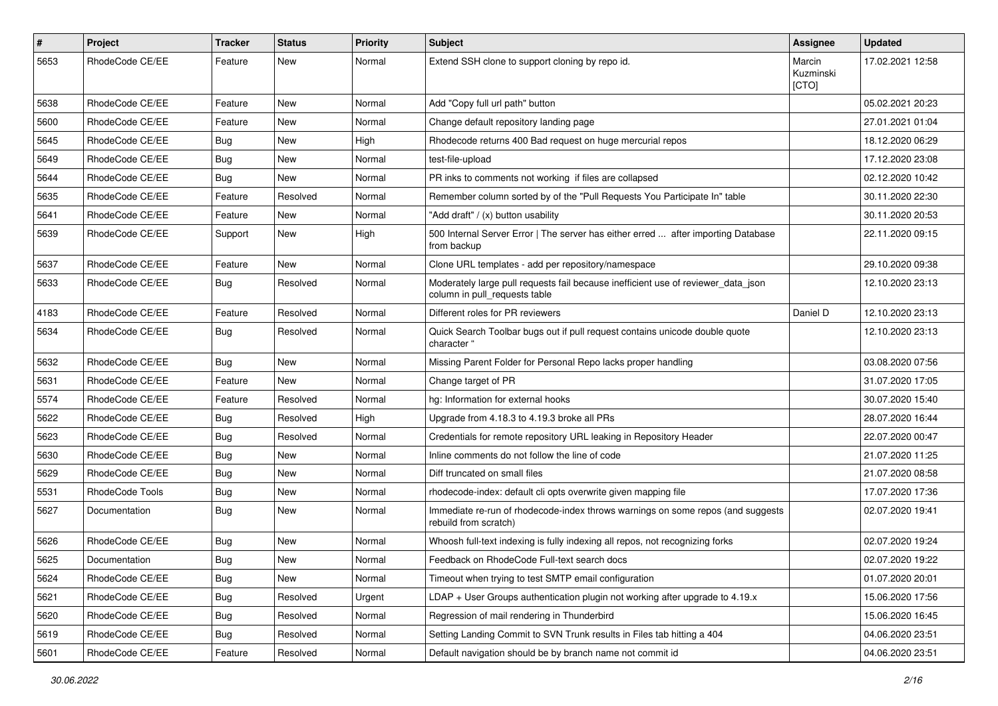| $\pmb{\#}$ | Project         | <b>Tracker</b> | <b>Status</b> | <b>Priority</b> | <b>Subject</b>                                                                                                     | Assignee                     | <b>Updated</b>   |
|------------|-----------------|----------------|---------------|-----------------|--------------------------------------------------------------------------------------------------------------------|------------------------------|------------------|
| 5653       | RhodeCode CE/EE | Feature        | <b>New</b>    | Normal          | Extend SSH clone to support cloning by repo id.                                                                    | Marcin<br>Kuzminski<br>[CTO] | 17.02.2021 12:58 |
| 5638       | RhodeCode CE/EE | Feature        | New           | Normal          | Add "Copy full url path" button                                                                                    |                              | 05.02.2021 20:23 |
| 5600       | RhodeCode CE/EE | Feature        | <b>New</b>    | Normal          | Change default repository landing page                                                                             |                              | 27.01.2021 01:04 |
| 5645       | RhodeCode CE/EE | Bug            | New           | High            | Rhodecode returns 400 Bad request on huge mercurial repos                                                          |                              | 18.12.2020 06:29 |
| 5649       | RhodeCode CE/EE | Bug            | New           | Normal          | test-file-upload                                                                                                   |                              | 17.12.2020 23:08 |
| 5644       | RhodeCode CE/EE | Bug            | New           | Normal          | PR inks to comments not working if files are collapsed                                                             |                              | 02.12.2020 10:42 |
| 5635       | RhodeCode CE/EE | Feature        | Resolved      | Normal          | Remember column sorted by of the "Pull Requests You Participate In" table                                          |                              | 30.11.2020 22:30 |
| 5641       | RhodeCode CE/EE | Feature        | <b>New</b>    | Normal          | "Add draft" / (x) button usability                                                                                 |                              | 30.11.2020 20:53 |
| 5639       | RhodeCode CE/EE | Support        | New           | High            | 500 Internal Server Error   The server has either erred  after importing Database<br>from backup                   |                              | 22.11.2020 09:15 |
| 5637       | RhodeCode CE/EE | Feature        | <b>New</b>    | Normal          | Clone URL templates - add per repository/namespace                                                                 |                              | 29.10.2020 09:38 |
| 5633       | RhodeCode CE/EE | Bug            | Resolved      | Normal          | Moderately large pull requests fail because inefficient use of reviewer_data_json<br>column in pull_requests table |                              | 12.10.2020 23:13 |
| 4183       | RhodeCode CE/EE | Feature        | Resolved      | Normal          | Different roles for PR reviewers                                                                                   | Daniel D                     | 12.10.2020 23:13 |
| 5634       | RhodeCode CE/EE | Bug            | Resolved      | Normal          | Quick Search Toolbar bugs out if pull request contains unicode double quote<br>character "                         |                              | 12.10.2020 23:13 |
| 5632       | RhodeCode CE/EE | Bug            | New           | Normal          | Missing Parent Folder for Personal Repo lacks proper handling                                                      |                              | 03.08.2020 07:56 |
| 5631       | RhodeCode CE/EE | Feature        | New           | Normal          | Change target of PR                                                                                                |                              | 31.07.2020 17:05 |
| 5574       | RhodeCode CE/EE | Feature        | Resolved      | Normal          | hg: Information for external hooks                                                                                 |                              | 30.07.2020 15:40 |
| 5622       | RhodeCode CE/EE | Bug            | Resolved      | High            | Upgrade from 4.18.3 to 4.19.3 broke all PRs                                                                        |                              | 28.07.2020 16:44 |
| 5623       | RhodeCode CE/EE | Bug            | Resolved      | Normal          | Credentials for remote repository URL leaking in Repository Header                                                 |                              | 22.07.2020 00:47 |
| 5630       | RhodeCode CE/EE | Bug            | New           | Normal          | Inline comments do not follow the line of code                                                                     |                              | 21.07.2020 11:25 |
| 5629       | RhodeCode CE/EE | <b>Bug</b>     | New           | Normal          | Diff truncated on small files                                                                                      |                              | 21.07.2020 08:58 |
| 5531       | RhodeCode Tools | Bug            | <b>New</b>    | Normal          | rhodecode-index: default cli opts overwrite given mapping file                                                     |                              | 17.07.2020 17:36 |
| 5627       | Documentation   | Bug            | New           | Normal          | Immediate re-run of rhodecode-index throws warnings on some repos (and suggests<br>rebuild from scratch)           |                              | 02.07.2020 19:41 |
| 5626       | RhodeCode CE/EE | Bug            | <b>New</b>    | Normal          | Whoosh full-text indexing is fully indexing all repos, not recognizing forks                                       |                              | 02.07.2020 19:24 |
| 5625       | Documentation   | Bug            | New           | Normal          | Feedback on RhodeCode Full-text search docs                                                                        |                              | 02.07.2020 19:22 |
| 5624       | RhodeCode CE/EE | <b>Bug</b>     | New           | Normal          | Timeout when trying to test SMTP email configuration                                                               |                              | 01.07.2020 20:01 |
| 5621       | RhodeCode CE/EE | <b>Bug</b>     | Resolved      | Urgent          | LDAP + User Groups authentication plugin not working after upgrade to 4.19.x                                       |                              | 15.06.2020 17:56 |
| 5620       | RhodeCode CE/EE | <b>Bug</b>     | Resolved      | Normal          | Regression of mail rendering in Thunderbird                                                                        |                              | 15.06.2020 16:45 |
| 5619       | RhodeCode CE/EE | Bug            | Resolved      | Normal          | Setting Landing Commit to SVN Trunk results in Files tab hitting a 404                                             |                              | 04.06.2020 23:51 |
| 5601       | RhodeCode CE/EE | Feature        | Resolved      | Normal          | Default navigation should be by branch name not commit id                                                          |                              | 04.06.2020 23:51 |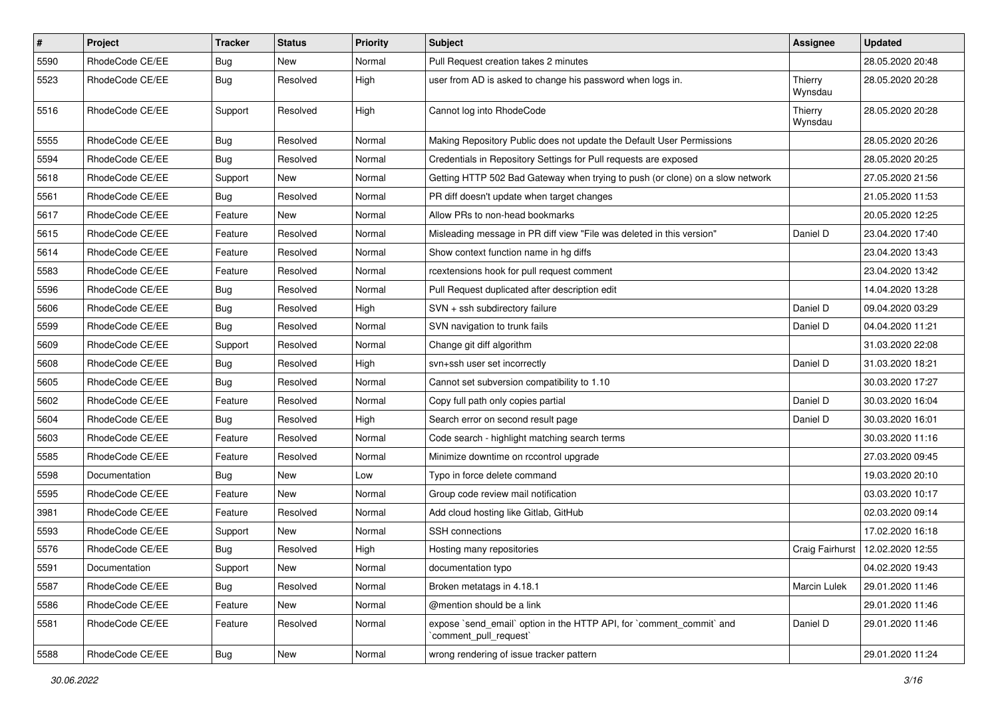| $\vert$ # | Project         | Tracker    | <b>Status</b> | <b>Priority</b> | Subject                                                                                        | Assignee            | <b>Updated</b>   |
|-----------|-----------------|------------|---------------|-----------------|------------------------------------------------------------------------------------------------|---------------------|------------------|
| 5590      | RhodeCode CE/EE | <b>Bug</b> | New           | Normal          | Pull Request creation takes 2 minutes                                                          |                     | 28.05.2020 20:48 |
| 5523      | RhodeCode CE/EE | <b>Bug</b> | Resolved      | High            | user from AD is asked to change his password when logs in.                                     | Thierry<br>Wynsdau  | 28.05.2020 20:28 |
| 5516      | RhodeCode CE/EE | Support    | Resolved      | High            | Cannot log into RhodeCode                                                                      | Thierry<br>Wynsdau  | 28.05.2020 20:28 |
| 5555      | RhodeCode CE/EE | <b>Bug</b> | Resolved      | Normal          | Making Repository Public does not update the Default User Permissions                          |                     | 28.05.2020 20:26 |
| 5594      | RhodeCode CE/EE | <b>Bug</b> | Resolved      | Normal          | Credentials in Repository Settings for Pull requests are exposed                               |                     | 28.05.2020 20:25 |
| 5618      | RhodeCode CE/EE | Support    | New           | Normal          | Getting HTTP 502 Bad Gateway when trying to push (or clone) on a slow network                  |                     | 27.05.2020 21:56 |
| 5561      | RhodeCode CE/EE | <b>Bug</b> | Resolved      | Normal          | PR diff doesn't update when target changes                                                     |                     | 21.05.2020 11:53 |
| 5617      | RhodeCode CE/EE | Feature    | New           | Normal          | Allow PRs to non-head bookmarks                                                                |                     | 20.05.2020 12:25 |
| 5615      | RhodeCode CE/EE | Feature    | Resolved      | Normal          | Misleading message in PR diff view "File was deleted in this version"                          | Daniel D            | 23.04.2020 17:40 |
| 5614      | RhodeCode CE/EE | Feature    | Resolved      | Normal          | Show context function name in hg diffs                                                         |                     | 23.04.2020 13:43 |
| 5583      | RhodeCode CE/EE | Feature    | Resolved      | Normal          | rcextensions hook for pull request comment                                                     |                     | 23.04.2020 13:42 |
| 5596      | RhodeCode CE/EE | <b>Bug</b> | Resolved      | Normal          | Pull Request duplicated after description edit                                                 |                     | 14.04.2020 13:28 |
| 5606      | RhodeCode CE/EE | <b>Bug</b> | Resolved      | High            | SVN + ssh subdirectory failure                                                                 | Daniel D            | 09.04.2020 03:29 |
| 5599      | RhodeCode CE/EE | Bug        | Resolved      | Normal          | SVN navigation to trunk fails                                                                  | Daniel D            | 04.04.2020 11:21 |
| 5609      | RhodeCode CE/EE | Support    | Resolved      | Normal          | Change git diff algorithm                                                                      |                     | 31.03.2020 22:08 |
| 5608      | RhodeCode CE/EE | <b>Bug</b> | Resolved      | High            | svn+ssh user set incorrectly                                                                   | Daniel D            | 31.03.2020 18:21 |
| 5605      | RhodeCode CE/EE | <b>Bug</b> | Resolved      | Normal          | Cannot set subversion compatibility to 1.10                                                    |                     | 30.03.2020 17:27 |
| 5602      | RhodeCode CE/EE | Feature    | Resolved      | Normal          | Copy full path only copies partial                                                             | Daniel D            | 30.03.2020 16:04 |
| 5604      | RhodeCode CE/EE | Bug        | Resolved      | High            | Search error on second result page                                                             | Daniel D            | 30.03.2020 16:01 |
| 5603      | RhodeCode CE/EE | Feature    | Resolved      | Normal          | Code search - highlight matching search terms                                                  |                     | 30.03.2020 11:16 |
| 5585      | RhodeCode CE/EE | Feature    | Resolved      | Normal          | Minimize downtime on rccontrol upgrade                                                         |                     | 27.03.2020 09:45 |
| 5598      | Documentation   | Bug        | New           | Low             | Typo in force delete command                                                                   |                     | 19.03.2020 20:10 |
| 5595      | RhodeCode CE/EE | Feature    | New           | Normal          | Group code review mail notification                                                            |                     | 03.03.2020 10:17 |
| 3981      | RhodeCode CE/EE | Feature    | Resolved      | Normal          | Add cloud hosting like Gitlab, GitHub                                                          |                     | 02.03.2020 09:14 |
| 5593      | RhodeCode CE/EE | Support    | New           | Normal          | SSH connections                                                                                |                     | 17.02.2020 16:18 |
| 5576      | RhodeCode CE/EE | <b>Bug</b> | Resolved      | High            | Hosting many repositories                                                                      | Craig Fairhurst     | 12.02.2020 12:55 |
| 5591      | Documentation   | Support    | New           | Normal          | documentation typo                                                                             |                     | 04.02.2020 19:43 |
| 5587      | RhodeCode CE/EE | Bug        | Resolved      | Normal          | Broken metatags in 4.18.1                                                                      | <b>Marcin Lulek</b> | 29.01.2020 11:46 |
| 5586      | RhodeCode CE/EE | Feature    | New           | Normal          | @mention should be a link                                                                      |                     | 29.01.2020 11:46 |
| 5581      | RhodeCode CE/EE | Feature    | Resolved      | Normal          | expose `send_email` option in the HTTP API, for `comment_commit` and<br>`comment_pull_request` | Daniel D            | 29.01.2020 11:46 |
| 5588      | RhodeCode CE/EE | <b>Bug</b> | New           | Normal          | wrong rendering of issue tracker pattern                                                       |                     | 29.01.2020 11:24 |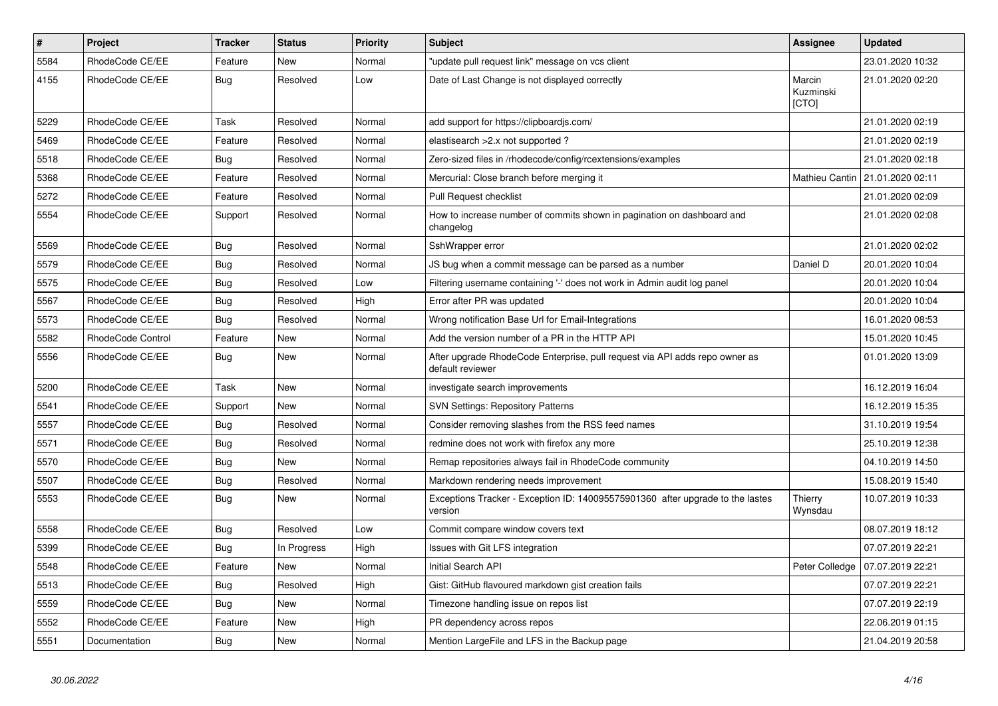| $\sharp$ | <b>Project</b>    | <b>Tracker</b> | <b>Status</b> | <b>Priority</b> | <b>Subject</b>                                                                                  | Assignee                     | <b>Updated</b>   |
|----------|-------------------|----------------|---------------|-----------------|-------------------------------------------------------------------------------------------------|------------------------------|------------------|
| 5584     | RhodeCode CE/EE   | Feature        | New           | Normal          | "update pull request link" message on vcs client                                                |                              | 23.01.2020 10:32 |
| 4155     | RhodeCode CE/EE   | <b>Bug</b>     | Resolved      | Low             | Date of Last Change is not displayed correctly                                                  | Marcin<br>Kuzminski<br>[CTO] | 21.01.2020 02:20 |
| 5229     | RhodeCode CE/EE   | Task           | Resolved      | Normal          | add support for https://clipboardjs.com/                                                        |                              | 21.01.2020 02:19 |
| 5469     | RhodeCode CE/EE   | Feature        | Resolved      | Normal          | elastisearch > 2.x not supported ?                                                              |                              | 21.01.2020 02:19 |
| 5518     | RhodeCode CE/EE   | <b>Bug</b>     | Resolved      | Normal          | Zero-sized files in /rhodecode/config/rcextensions/examples                                     |                              | 21.01.2020 02:18 |
| 5368     | RhodeCode CE/EE   | Feature        | Resolved      | Normal          | Mercurial: Close branch before merging it                                                       | Mathieu Cantin               | 21.01.2020 02:11 |
| 5272     | RhodeCode CE/EE   | Feature        | Resolved      | Normal          | Pull Request checklist                                                                          |                              | 21.01.2020 02:09 |
| 5554     | RhodeCode CE/EE   | Support        | Resolved      | Normal          | How to increase number of commits shown in pagination on dashboard and<br>changelog             |                              | 21.01.2020 02:08 |
| 5569     | RhodeCode CE/EE   | <b>Bug</b>     | Resolved      | Normal          | SshWrapper error                                                                                |                              | 21.01.2020 02:02 |
| 5579     | RhodeCode CE/EE   | Bug            | Resolved      | Normal          | JS bug when a commit message can be parsed as a number                                          | Daniel D                     | 20.01.2020 10:04 |
| 5575     | RhodeCode CE/EE   | <b>Bug</b>     | Resolved      | Low             | Filtering username containing '-' does not work in Admin audit log panel                        |                              | 20.01.2020 10:04 |
| 5567     | RhodeCode CE/EE   | <b>Bug</b>     | Resolved      | High            | Error after PR was updated                                                                      |                              | 20.01.2020 10:04 |
| 5573     | RhodeCode CE/EE   | Bug            | Resolved      | Normal          | Wrong notification Base Url for Email-Integrations                                              |                              | 16.01.2020 08:53 |
| 5582     | RhodeCode Control | Feature        | New           | Normal          | Add the version number of a PR in the HTTP API                                                  |                              | 15.01.2020 10:45 |
| 5556     | RhodeCode CE/EE   | <b>Bug</b>     | <b>New</b>    | Normal          | After upgrade RhodeCode Enterprise, pull request via API adds repo owner as<br>default reviewer |                              | 01.01.2020 13:09 |
| 5200     | RhodeCode CE/EE   | Task           | New           | Normal          | investigate search improvements                                                                 |                              | 16.12.2019 16:04 |
| 5541     | RhodeCode CE/EE   | Support        | New           | Normal          | <b>SVN Settings: Repository Patterns</b>                                                        |                              | 16.12.2019 15:35 |
| 5557     | RhodeCode CE/EE   | <b>Bug</b>     | Resolved      | Normal          | Consider removing slashes from the RSS feed names                                               |                              | 31.10.2019 19:54 |
| 5571     | RhodeCode CE/EE   | <b>Bug</b>     | Resolved      | Normal          | redmine does not work with firefox any more                                                     |                              | 25.10.2019 12:38 |
| 5570     | RhodeCode CE/EE   | Bug            | New           | Normal          | Remap repositories always fail in RhodeCode community                                           |                              | 04.10.2019 14:50 |
| 5507     | RhodeCode CE/EE   | Bug            | Resolved      | Normal          | Markdown rendering needs improvement                                                            |                              | 15.08.2019 15:40 |
| 5553     | RhodeCode CE/EE   | Bug            | New           | Normal          | Exceptions Tracker - Exception ID: 140095575901360 after upgrade to the lastes<br>version       | Thierry<br>Wynsdau           | 10.07.2019 10:33 |
| 5558     | RhodeCode CE/EE   | Bug            | Resolved      | Low             | Commit compare window covers text                                                               |                              | 08.07.2019 18:12 |
| 5399     | RhodeCode CE/EE   | <b>Bug</b>     | In Progress   | High            | Issues with Git LFS integration                                                                 |                              | 07.07.2019 22:21 |
| 5548     | RhodeCode CE/EE   | Feature        | <b>New</b>    | Normal          | Initial Search API                                                                              | Peter Colledge               | 07.07.2019 22:21 |
| 5513     | RhodeCode CE/EE   | Bug            | Resolved      | High            | Gist: GitHub flavoured markdown gist creation fails                                             |                              | 07.07.2019 22:21 |
| 5559     | RhodeCode CE/EE   | Bug            | New           | Normal          | Timezone handling issue on repos list                                                           |                              | 07.07.2019 22:19 |
| 5552     | RhodeCode CE/EE   | Feature        | New           | High            | PR dependency across repos                                                                      |                              | 22.06.2019 01:15 |
| 5551     | Documentation     | Bug            | New           | Normal          | Mention Large File and LFS in the Backup page                                                   |                              | 21.04.2019 20:58 |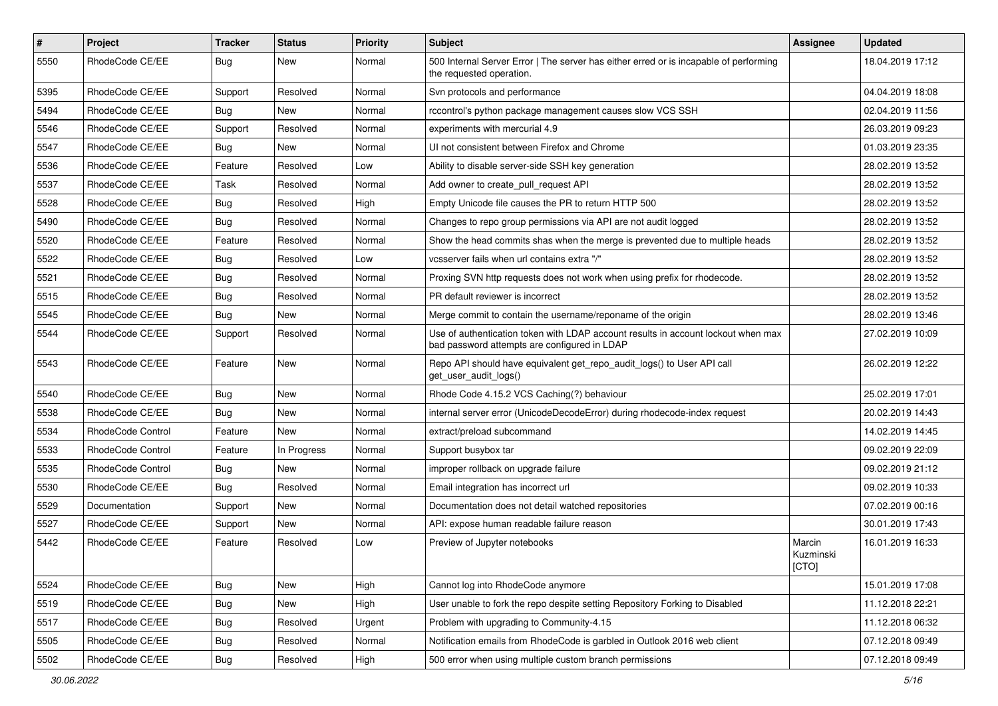| $\pmb{\#}$ | Project                  | <b>Tracker</b> | <b>Status</b> | <b>Priority</b> | Subject                                                                                                                           | <b>Assignee</b>              | <b>Updated</b>   |
|------------|--------------------------|----------------|---------------|-----------------|-----------------------------------------------------------------------------------------------------------------------------------|------------------------------|------------------|
| 5550       | RhodeCode CE/EE          | Bug            | New           | Normal          | 500 Internal Server Error   The server has either erred or is incapable of performing<br>the requested operation.                 |                              | 18.04.2019 17:12 |
| 5395       | RhodeCode CE/EE          | Support        | Resolved      | Normal          | Svn protocols and performance                                                                                                     |                              | 04.04.2019 18:08 |
| 5494       | RhodeCode CE/EE          | Bug            | <b>New</b>    | Normal          | rccontrol's python package management causes slow VCS SSH                                                                         |                              | 02.04.2019 11:56 |
| 5546       | RhodeCode CE/EE          | Support        | Resolved      | Normal          | experiments with mercurial 4.9                                                                                                    |                              | 26.03.2019 09:23 |
| 5547       | RhodeCode CE/EE          | Bug            | <b>New</b>    | Normal          | UI not consistent between Firefox and Chrome                                                                                      |                              | 01.03.2019 23:35 |
| 5536       | RhodeCode CE/EE          | Feature        | Resolved      | Low             | Ability to disable server-side SSH key generation                                                                                 |                              | 28.02.2019 13:52 |
| 5537       | RhodeCode CE/EE          | Task           | Resolved      | Normal          | Add owner to create_pull_request API                                                                                              |                              | 28.02.2019 13:52 |
| 5528       | RhodeCode CE/EE          | Bug            | Resolved      | High            | Empty Unicode file causes the PR to return HTTP 500                                                                               |                              | 28.02.2019 13:52 |
| 5490       | RhodeCode CE/EE          | Bug            | Resolved      | Normal          | Changes to repo group permissions via API are not audit logged                                                                    |                              | 28.02.2019 13:52 |
| 5520       | RhodeCode CE/EE          | Feature        | Resolved      | Normal          | Show the head commits shas when the merge is prevented due to multiple heads                                                      |                              | 28.02.2019 13:52 |
| 5522       | RhodeCode CE/EE          | Bug            | Resolved      | Low             | vcsserver fails when url contains extra "/"                                                                                       |                              | 28.02.2019 13:52 |
| 5521       | RhodeCode CE/EE          | Bug            | Resolved      | Normal          | Proxing SVN http requests does not work when using prefix for rhodecode.                                                          |                              | 28.02.2019 13:52 |
| 5515       | RhodeCode CE/EE          | Bug            | Resolved      | Normal          | PR default reviewer is incorrect                                                                                                  |                              | 28.02.2019 13:52 |
| 5545       | RhodeCode CE/EE          | <b>Bug</b>     | <b>New</b>    | Normal          | Merge commit to contain the username/reponame of the origin                                                                       |                              | 28.02.2019 13:46 |
| 5544       | RhodeCode CE/EE          | Support        | Resolved      | Normal          | Use of authentication token with LDAP account results in account lockout when max<br>bad password attempts are configured in LDAP |                              | 27.02.2019 10:09 |
| 5543       | RhodeCode CE/EE          | Feature        | New           | Normal          | Repo API should have equivalent get_repo_audit_logs() to User API call<br>get_user_audit_logs()                                   |                              | 26.02.2019 12:22 |
| 5540       | RhodeCode CE/EE          | Bug            | <b>New</b>    | Normal          | Rhode Code 4.15.2 VCS Caching(?) behaviour                                                                                        |                              | 25.02.2019 17:01 |
| 5538       | RhodeCode CE/EE          | Bug            | <b>New</b>    | Normal          | internal server error (UnicodeDecodeError) during rhodecode-index request                                                         |                              | 20.02.2019 14:43 |
| 5534       | RhodeCode Control        | Feature        | <b>New</b>    | Normal          | extract/preload subcommand                                                                                                        |                              | 14.02.2019 14:45 |
| 5533       | <b>RhodeCode Control</b> | Feature        | In Progress   | Normal          | Support busybox tar                                                                                                               |                              | 09.02.2019 22:09 |
| 5535       | RhodeCode Control        | Bug            | New           | Normal          | improper rollback on upgrade failure                                                                                              |                              | 09.02.2019 21:12 |
| 5530       | RhodeCode CE/EE          | Bug            | Resolved      | Normal          | Email integration has incorrect url                                                                                               |                              | 09.02.2019 10:33 |
| 5529       | Documentation            | Support        | <b>New</b>    | Normal          | Documentation does not detail watched repositories                                                                                |                              | 07.02.2019 00:16 |
| 5527       | RhodeCode CE/EE          | Support        | New           | Normal          | API: expose human readable failure reason                                                                                         |                              | 30.01.2019 17:43 |
| 5442       | RhodeCode CE/EE          | Feature        | Resolved      | Low             | Preview of Jupyter notebooks                                                                                                      | Marcin<br>Kuzminski<br>[CTO] | 16.01.2019 16:33 |
| 5524       | RhodeCode CE/EE          | Bug            | <b>New</b>    | High            | Cannot log into RhodeCode anymore                                                                                                 |                              | 15.01.2019 17:08 |
| 5519       | RhodeCode CE/EE          | Bug            | New           | High            | User unable to fork the repo despite setting Repository Forking to Disabled                                                       |                              | 11.12.2018 22:21 |
| 5517       | RhodeCode CE/EE          | Bug            | Resolved      | Urgent          | Problem with upgrading to Community-4.15                                                                                          |                              | 11.12.2018 06:32 |
| 5505       | RhodeCode CE/EE          | <b>Bug</b>     | Resolved      | Normal          | Notification emails from RhodeCode is garbled in Outlook 2016 web client                                                          |                              | 07.12.2018 09:49 |
| 5502       | RhodeCode CE/EE          | <b>Bug</b>     | Resolved      | High            | 500 error when using multiple custom branch permissions                                                                           |                              | 07.12.2018 09:49 |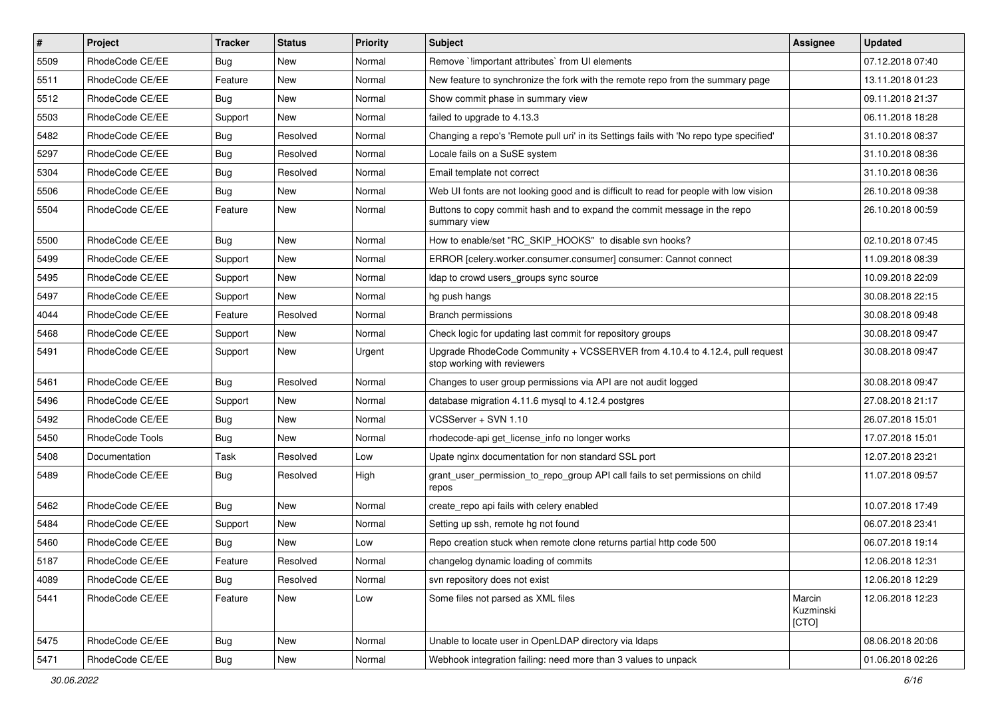| $\sharp$ | Project         | <b>Tracker</b> | <b>Status</b> | <b>Priority</b> | <b>Subject</b>                                                                                             | <b>Assignee</b>              | <b>Updated</b>   |
|----------|-----------------|----------------|---------------|-----------------|------------------------------------------------------------------------------------------------------------|------------------------------|------------------|
| 5509     | RhodeCode CE/EE | Bug            | New           | Normal          | Remove `!important attributes` from UI elements                                                            |                              | 07.12.2018 07:40 |
| 5511     | RhodeCode CE/EE | Feature        | New           | Normal          | New feature to synchronize the fork with the remote repo from the summary page                             |                              | 13.11.2018 01:23 |
| 5512     | RhodeCode CE/EE | Bug            | New           | Normal          | Show commit phase in summary view                                                                          |                              | 09.11.2018 21:37 |
| 5503     | RhodeCode CE/EE | Support        | <b>New</b>    | Normal          | failed to upgrade to 4.13.3                                                                                |                              | 06.11.2018 18:28 |
| 5482     | RhodeCode CE/EE | Bug            | Resolved      | Normal          | Changing a repo's 'Remote pull uri' in its Settings fails with 'No repo type specified'                    |                              | 31.10.2018 08:37 |
| 5297     | RhodeCode CE/EE | Bug            | Resolved      | Normal          | Locale fails on a SuSE system                                                                              |                              | 31.10.2018 08:36 |
| 5304     | RhodeCode CE/EE | Bug            | Resolved      | Normal          | Email template not correct                                                                                 |                              | 31.10.2018 08:36 |
| 5506     | RhodeCode CE/EE | Bug            | New           | Normal          | Web UI fonts are not looking good and is difficult to read for people with low vision                      |                              | 26.10.2018 09:38 |
| 5504     | RhodeCode CE/EE | Feature        | New           | Normal          | Buttons to copy commit hash and to expand the commit message in the repo<br>summary view                   |                              | 26.10.2018 00:59 |
| 5500     | RhodeCode CE/EE | Bug            | New           | Normal          | How to enable/set "RC SKIP HOOKS" to disable svn hooks?                                                    |                              | 02.10.2018 07:45 |
| 5499     | RhodeCode CE/EE | Support        | New           | Normal          | ERROR [celery.worker.consumer.consumer] consumer: Cannot connect                                           |                              | 11.09.2018 08:39 |
| 5495     | RhodeCode CE/EE | Support        | <b>New</b>    | Normal          | Idap to crowd users_groups sync source                                                                     |                              | 10.09.2018 22:09 |
| 5497     | RhodeCode CE/EE | Support        | New           | Normal          | hg push hangs                                                                                              |                              | 30.08.2018 22:15 |
| 4044     | RhodeCode CE/EE | Feature        | Resolved      | Normal          | <b>Branch permissions</b>                                                                                  |                              | 30.08.2018 09:48 |
| 5468     | RhodeCode CE/EE | Support        | New           | Normal          | Check logic for updating last commit for repository groups                                                 |                              | 30.08.2018 09:47 |
| 5491     | RhodeCode CE/EE | Support        | New           | Urgent          | Upgrade RhodeCode Community + VCSSERVER from 4.10.4 to 4.12.4, pull request<br>stop working with reviewers |                              | 30.08.2018 09:47 |
| 5461     | RhodeCode CE/EE | Bug            | Resolved      | Normal          | Changes to user group permissions via API are not audit logged                                             |                              | 30.08.2018 09:47 |
| 5496     | RhodeCode CE/EE | Support        | New           | Normal          | database migration 4.11.6 mysql to 4.12.4 postgres                                                         |                              | 27.08.2018 21:17 |
| 5492     | RhodeCode CE/EE | <b>Bug</b>     | <b>New</b>    | Normal          | VCSServer + SVN 1.10                                                                                       |                              | 26.07.2018 15:01 |
| 5450     | RhodeCode Tools | Bug            | New           | Normal          | rhodecode-api get license info no longer works                                                             |                              | 17.07.2018 15:01 |
| 5408     | Documentation   | Task           | Resolved      | Low             | Upate nginx documentation for non standard SSL port                                                        |                              | 12.07.2018 23:21 |
| 5489     | RhodeCode CE/EE | Bug            | Resolved      | High            | grant_user_permission_to_repo_group API call fails to set permissions on child<br>repos                    |                              | 11.07.2018 09:57 |
| 5462     | RhodeCode CE/EE | Bug            | <b>New</b>    | Normal          | create_repo api fails with celery enabled                                                                  |                              | 10.07.2018 17:49 |
| 5484     | RhodeCode CE/EE | Support        | New           | Normal          | Setting up ssh, remote hg not found                                                                        |                              | 06.07.2018 23:41 |
| 5460     | RhodeCode CE/EE | <b>Bug</b>     | New           | Low             | Repo creation stuck when remote clone returns partial http code 500                                        |                              | 06.07.2018 19:14 |
| 5187     | RhodeCode CE/EE | Feature        | Resolved      | Normal          | changelog dynamic loading of commits                                                                       |                              | 12.06.2018 12:31 |
| 4089     | RhodeCode CE/EE | Bug            | Resolved      | Normal          | svn repository does not exist                                                                              |                              | 12.06.2018 12:29 |
| 5441     | RhodeCode CE/EE | Feature        | New           | Low             | Some files not parsed as XML files                                                                         | Marcin<br>Kuzminski<br>[CTO] | 12.06.2018 12:23 |
| 5475     | RhodeCode CE/EE | Bug            | New           | Normal          | Unable to locate user in OpenLDAP directory via Idaps                                                      |                              | 08.06.2018 20:06 |
| 5471     | RhodeCode CE/EE | <b>Bug</b>     | New           | Normal          | Webhook integration failing: need more than 3 values to unpack                                             |                              | 01.06.2018 02:26 |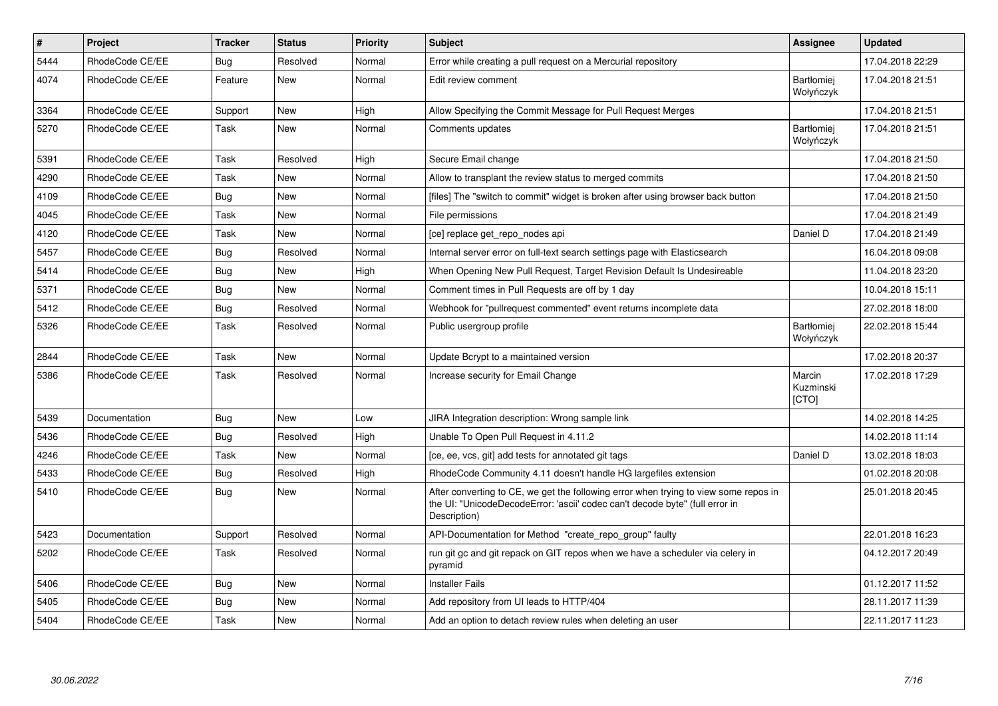| $\pmb{\#}$ | Project         | <b>Tracker</b> | <b>Status</b> | <b>Priority</b> | <b>Subject</b>                                                                                                                                                                       | Assignee                       | <b>Updated</b>   |
|------------|-----------------|----------------|---------------|-----------------|--------------------------------------------------------------------------------------------------------------------------------------------------------------------------------------|--------------------------------|------------------|
| 5444       | RhodeCode CE/EE | Bug            | Resolved      | Normal          | Error while creating a pull request on a Mercurial repository                                                                                                                        |                                | 17.04.2018 22:29 |
| 4074       | RhodeCode CE/EE | Feature        | <b>New</b>    | Normal          | Edit review comment                                                                                                                                                                  | <b>Bartłomiei</b><br>Wołyńczyk | 17.04.2018 21:51 |
| 3364       | RhodeCode CE/EE | Support        | <b>New</b>    | High            | Allow Specifying the Commit Message for Pull Request Merges                                                                                                                          |                                | 17.04.2018 21:51 |
| 5270       | RhodeCode CE/EE | Task           | New           | Normal          | Comments updates                                                                                                                                                                     | Bartłomiej<br>Wołyńczyk        | 17.04.2018 21:51 |
| 5391       | RhodeCode CE/EE | Task           | Resolved      | High            | Secure Email change                                                                                                                                                                  |                                | 17.04.2018 21:50 |
| 4290       | RhodeCode CE/EE | Task           | New           | Normal          | Allow to transplant the review status to merged commits                                                                                                                              |                                | 17.04.2018 21:50 |
| 4109       | RhodeCode CE/EE | <b>Bug</b>     | New           | Normal          | [files] The "switch to commit" widget is broken after using browser back button                                                                                                      |                                | 17.04.2018 21:50 |
| 4045       | RhodeCode CE/EE | Task           | <b>New</b>    | Normal          | File permissions                                                                                                                                                                     |                                | 17.04.2018 21:49 |
| 4120       | RhodeCode CE/EE | Task           | New           | Normal          | [ce] replace get repo nodes api                                                                                                                                                      | Daniel D                       | 17.04.2018 21:49 |
| 5457       | RhodeCode CE/EE | Bug            | Resolved      | Normal          | Internal server error on full-text search settings page with Elasticsearch                                                                                                           |                                | 16.04.2018 09:08 |
| 5414       | RhodeCode CE/EE | Bug            | <b>New</b>    | High            | When Opening New Pull Request, Target Revision Default Is Undesireable                                                                                                               |                                | 11.04.2018 23:20 |
| 5371       | RhodeCode CE/EE | Bug            | New           | Normal          | Comment times in Pull Requests are off by 1 day                                                                                                                                      |                                | 10.04.2018 15:11 |
| 5412       | RhodeCode CE/EE | Bug            | Resolved      | Normal          | Webhook for "pullrequest commented" event returns incomplete data                                                                                                                    |                                | 27.02.2018 18:00 |
| 5326       | RhodeCode CE/EE | Task           | Resolved      | Normal          | Public usergroup profile                                                                                                                                                             | <b>Bartłomiei</b><br>Wołyńczyk | 22.02.2018 15:44 |
| 2844       | RhodeCode CE/EE | Task           | New           | Normal          | Update Bcrypt to a maintained version                                                                                                                                                |                                | 17.02.2018 20:37 |
| 5386       | RhodeCode CE/EE | Task           | Resolved      | Normal          | Increase security for Email Change                                                                                                                                                   | Marcin<br>Kuzminski<br>[CTO]   | 17.02.2018 17:29 |
| 5439       | Documentation   | Bug            | New           | Low             | JIRA Integration description: Wrong sample link                                                                                                                                      |                                | 14.02.2018 14:25 |
| 5436       | RhodeCode CE/EE | Bug            | Resolved      | High            | Unable To Open Pull Request in 4.11.2                                                                                                                                                |                                | 14.02.2018 11:14 |
| 4246       | RhodeCode CE/EE | Task           | <b>New</b>    | Normal          | [ce, ee, vcs, git] add tests for annotated git tags                                                                                                                                  | Daniel D                       | 13.02.2018 18:03 |
| 5433       | RhodeCode CE/EE | Bug            | Resolved      | High            | RhodeCode Community 4.11 doesn't handle HG largefiles extension                                                                                                                      |                                | 01.02.2018 20:08 |
| 5410       | RhodeCode CE/EE | Bug            | New           | Normal          | After converting to CE, we get the following error when trying to view some repos in<br>the UI: "UnicodeDecodeError: 'ascii' codec can't decode byte" (full error in<br>Description) |                                | 25.01.2018 20:45 |
| 5423       | Documentation   | Support        | Resolved      | Normal          | API-Documentation for Method "create_repo_group" faulty                                                                                                                              |                                | 22.01.2018 16:23 |
| 5202       | RhodeCode CE/EE | Task           | Resolved      | Normal          | run git gc and git repack on GIT repos when we have a scheduler via celery in<br>pyramid                                                                                             |                                | 04.12.2017 20:49 |
| 5406       | RhodeCode CE/EE | Bug            | <b>New</b>    | Normal          | <b>Installer Fails</b>                                                                                                                                                               |                                | 01.12.2017 11:52 |
| 5405       | RhodeCode CE/EE | Bug            | New           | Normal          | Add repository from UI leads to HTTP/404                                                                                                                                             |                                | 28.11.2017 11:39 |
| 5404       | RhodeCode CE/EE | Task           | <b>New</b>    | Normal          | Add an option to detach review rules when deleting an user                                                                                                                           |                                | 22.11.2017 11:23 |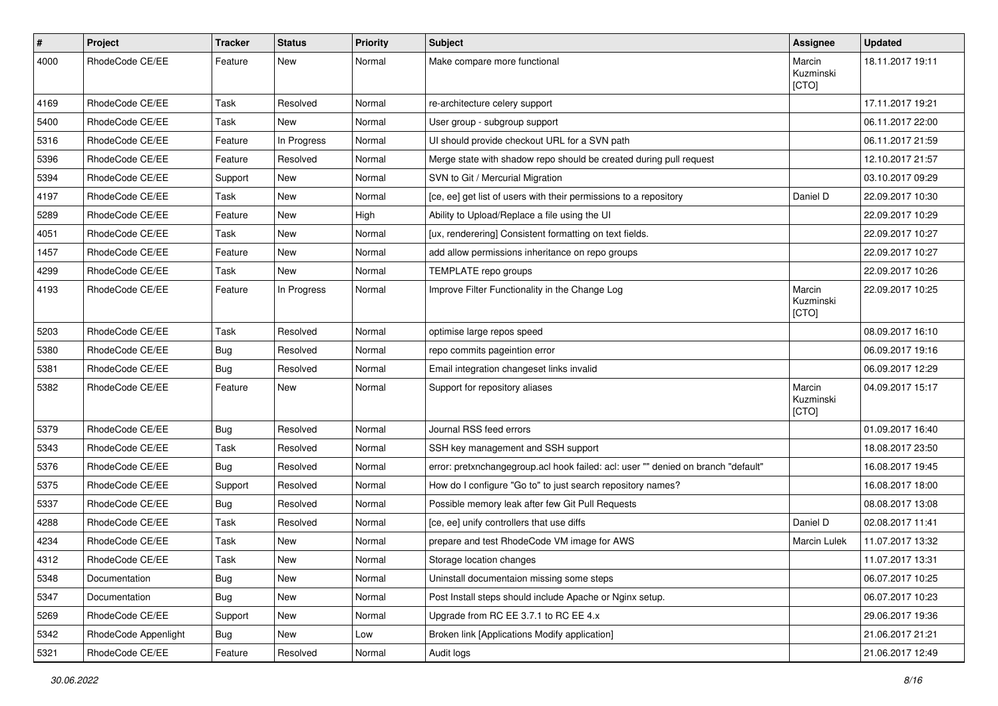| $\pmb{\#}$ | Project              | <b>Tracker</b> | <b>Status</b> | <b>Priority</b> | <b>Subject</b>                                                                    | Assignee                     | <b>Updated</b>   |
|------------|----------------------|----------------|---------------|-----------------|-----------------------------------------------------------------------------------|------------------------------|------------------|
| 4000       | RhodeCode CE/EE      | Feature        | New           | Normal          | Make compare more functional                                                      | Marcin<br>Kuzminski<br>[CTO] | 18.11.2017 19:11 |
| 4169       | RhodeCode CE/EE      | Task           | Resolved      | Normal          | re-architecture celery support                                                    |                              | 17.11.2017 19:21 |
| 5400       | RhodeCode CE/EE      | Task           | <b>New</b>    | Normal          | User group - subgroup support                                                     |                              | 06.11.2017 22:00 |
| 5316       | RhodeCode CE/EE      | Feature        | In Progress   | Normal          | UI should provide checkout URL for a SVN path                                     |                              | 06.11.2017 21:59 |
| 5396       | RhodeCode CE/EE      | Feature        | Resolved      | Normal          | Merge state with shadow repo should be created during pull request                |                              | 12.10.2017 21:57 |
| 5394       | RhodeCode CE/EE      | Support        | New           | Normal          | SVN to Git / Mercurial Migration                                                  |                              | 03.10.2017 09:29 |
| 4197       | RhodeCode CE/EE      | Task           | New           | Normal          | [ce, ee] get list of users with their permissions to a repository                 | Daniel D                     | 22.09.2017 10:30 |
| 5289       | RhodeCode CE/EE      | Feature        | <b>New</b>    | High            | Ability to Upload/Replace a file using the UI                                     |                              | 22.09.2017 10:29 |
| 4051       | RhodeCode CE/EE      | Task           | New           | Normal          | [ux, renderering] Consistent formatting on text fields.                           |                              | 22.09.2017 10:27 |
| 1457       | RhodeCode CE/EE      | Feature        | New           | Normal          | add allow permissions inheritance on repo groups                                  |                              | 22.09.2017 10:27 |
| 4299       | RhodeCode CE/EE      | Task           | New           | Normal          | TEMPLATE repo groups                                                              |                              | 22.09.2017 10:26 |
| 4193       | RhodeCode CE/EE      | Feature        | In Progress   | Normal          | Improve Filter Functionality in the Change Log                                    | Marcin<br>Kuzminski<br>[CTO] | 22.09.2017 10:25 |
| 5203       | RhodeCode CE/EE      | Task           | Resolved      | Normal          | optimise large repos speed                                                        |                              | 08.09.2017 16:10 |
| 5380       | RhodeCode CE/EE      | Bug            | Resolved      | Normal          | repo commits pageintion error                                                     |                              | 06.09.2017 19:16 |
| 5381       | RhodeCode CE/EE      | Bug            | Resolved      | Normal          | Email integration changeset links invalid                                         |                              | 06.09.2017 12:29 |
| 5382       | RhodeCode CE/EE      | Feature        | New           | Normal          | Support for repository aliases                                                    | Marcin<br>Kuzminski<br>[CTO] | 04.09.2017 15:17 |
| 5379       | RhodeCode CE/EE      | <b>Bug</b>     | Resolved      | Normal          | Journal RSS feed errors                                                           |                              | 01.09.2017 16:40 |
| 5343       | RhodeCode CE/EE      | Task           | Resolved      | Normal          | SSH key management and SSH support                                                |                              | 18.08.2017 23:50 |
| 5376       | RhodeCode CE/EE      | <b>Bug</b>     | Resolved      | Normal          | error: pretxnchangegroup.acl hook failed: acl: user "" denied on branch "default" |                              | 16.08.2017 19:45 |
| 5375       | RhodeCode CE/EE      | Support        | Resolved      | Normal          | How do I configure "Go to" to just search repository names?                       |                              | 16.08.2017 18:00 |
| 5337       | RhodeCode CE/EE      | Bug            | Resolved      | Normal          | Possible memory leak after few Git Pull Requests                                  |                              | 08.08.2017 13:08 |
| 4288       | RhodeCode CE/EE      | Task           | Resolved      | Normal          | [ce, ee] unify controllers that use diffs                                         | Daniel D                     | 02.08.2017 11:41 |
| 4234       | RhodeCode CE/EE      | Task           | New           | Normal          | prepare and test RhodeCode VM image for AWS                                       | Marcin Lulek                 | 11.07.2017 13:32 |
| 4312       | RhodeCode CE/EE      | Task           | New           | Normal          | Storage location changes                                                          |                              | 11.07.2017 13:31 |
| 5348       | Documentation        | <b>Bug</b>     | New           | Normal          | Uninstall documentaion missing some steps                                         |                              | 06.07.2017 10:25 |
| 5347       | Documentation        | Bug            | New           | Normal          | Post Install steps should include Apache or Nginx setup.                          |                              | 06.07.2017 10:23 |
| 5269       | RhodeCode CE/EE      | Support        | New           | Normal          | Upgrade from RC EE 3.7.1 to RC EE 4.x                                             |                              | 29.06.2017 19:36 |
| 5342       | RhodeCode Appenlight | Bug            | New           | Low             | Broken link [Applications Modify application]                                     |                              | 21.06.2017 21:21 |
| 5321       | RhodeCode CE/EE      | Feature        | Resolved      | Normal          | Audit logs                                                                        |                              | 21.06.2017 12:49 |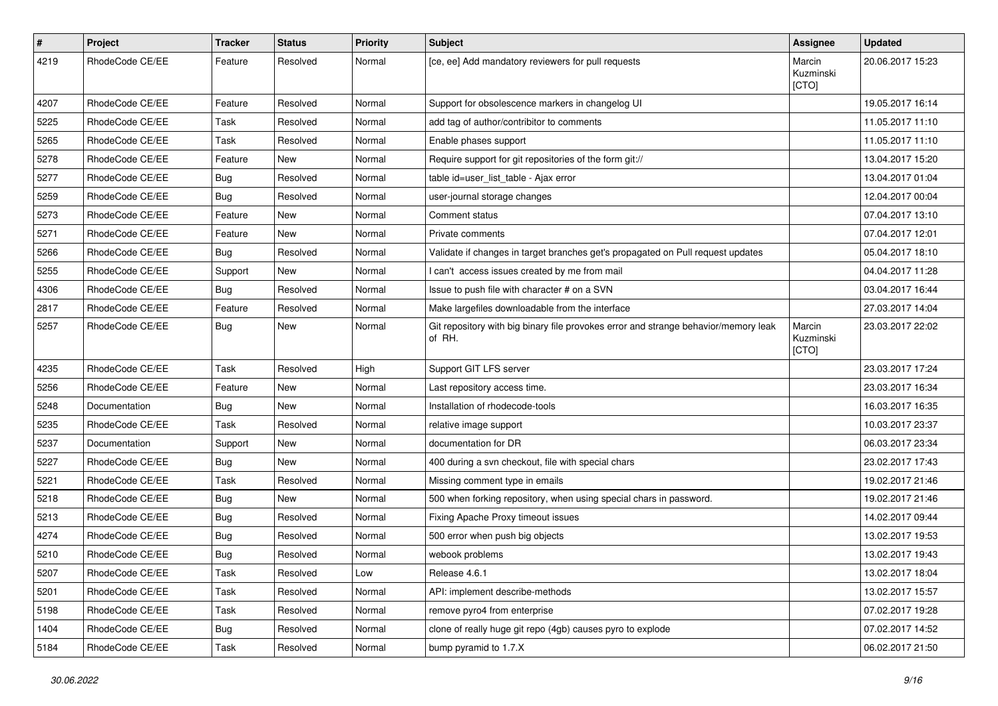| $\pmb{\#}$ | Project         | <b>Tracker</b> | <b>Status</b> | <b>Priority</b> | <b>Subject</b>                                                                                | Assignee                     | <b>Updated</b>   |
|------------|-----------------|----------------|---------------|-----------------|-----------------------------------------------------------------------------------------------|------------------------------|------------------|
| 4219       | RhodeCode CE/EE | Feature        | Resolved      | Normal          | [ce, ee] Add mandatory reviewers for pull requests                                            | Marcin<br>Kuzminski<br>[CTO] | 20.06.2017 15:23 |
| 4207       | RhodeCode CE/EE | Feature        | Resolved      | Normal          | Support for obsolescence markers in changelog UI                                              |                              | 19.05.2017 16:14 |
| 5225       | RhodeCode CE/EE | Task           | Resolved      | Normal          | add tag of author/contribitor to comments                                                     |                              | 11.05.2017 11:10 |
| 5265       | RhodeCode CE/EE | Task           | Resolved      | Normal          | Enable phases support                                                                         |                              | 11.05.2017 11:10 |
| 5278       | RhodeCode CE/EE | Feature        | New           | Normal          | Require support for git repositories of the form git://                                       |                              | 13.04.2017 15:20 |
| 5277       | RhodeCode CE/EE | Bug            | Resolved      | Normal          | table id=user_list_table - Ajax error                                                         |                              | 13.04.2017 01:04 |
| 5259       | RhodeCode CE/EE | Bug            | Resolved      | Normal          | user-journal storage changes                                                                  |                              | 12.04.2017 00:04 |
| 5273       | RhodeCode CE/EE | Feature        | <b>New</b>    | Normal          | Comment status                                                                                |                              | 07.04.2017 13:10 |
| 5271       | RhodeCode CE/EE | Feature        | New           | Normal          | Private comments                                                                              |                              | 07.04.2017 12:01 |
| 5266       | RhodeCode CE/EE | Bug            | Resolved      | Normal          | Validate if changes in target branches get's propagated on Pull request updates               |                              | 05.04.2017 18:10 |
| 5255       | RhodeCode CE/EE | Support        | New           | Normal          | I can't access issues created by me from mail                                                 |                              | 04.04.2017 11:28 |
| 4306       | RhodeCode CE/EE | Bug            | Resolved      | Normal          | Issue to push file with character # on a SVN                                                  |                              | 03.04.2017 16:44 |
| 2817       | RhodeCode CE/EE | Feature        | Resolved      | Normal          | Make largefiles downloadable from the interface                                               |                              | 27.03.2017 14:04 |
| 5257       | RhodeCode CE/EE | Bug            | New           | Normal          | Git repository with big binary file provokes error and strange behavior/memory leak<br>of RH. | Marcin<br>Kuzminski<br>[CTO] | 23.03.2017 22:02 |
| 4235       | RhodeCode CE/EE | Task           | Resolved      | High            | Support GIT LFS server                                                                        |                              | 23.03.2017 17:24 |
| 5256       | RhodeCode CE/EE | Feature        | New           | Normal          | Last repository access time.                                                                  |                              | 23.03.2017 16:34 |
| 5248       | Documentation   | Bug            | New           | Normal          | Installation of rhodecode-tools                                                               |                              | 16.03.2017 16:35 |
| 5235       | RhodeCode CE/EE | Task           | Resolved      | Normal          | relative image support                                                                        |                              | 10.03.2017 23:37 |
| 5237       | Documentation   | Support        | <b>New</b>    | Normal          | documentation for DR                                                                          |                              | 06.03.2017 23:34 |
| 5227       | RhodeCode CE/EE | Bug            | <b>New</b>    | Normal          | 400 during a svn checkout, file with special chars                                            |                              | 23.02.2017 17:43 |
| 5221       | RhodeCode CE/EE | Task           | Resolved      | Normal          | Missing comment type in emails                                                                |                              | 19.02.2017 21:46 |
| 5218       | RhodeCode CE/EE | Bug            | New           | Normal          | 500 when forking repository, when using special chars in password.                            |                              | 19.02.2017 21:46 |
| 5213       | RhodeCode CE/EE | Bug            | Resolved      | Normal          | Fixing Apache Proxy timeout issues                                                            |                              | 14.02.2017 09:44 |
| 4274       | RhodeCode CE/EE | Bug            | Resolved      | Normal          | 500 error when push big objects                                                               |                              | 13.02.2017 19:53 |
| 5210       | RhodeCode CE/EE | <b>Bug</b>     | Resolved      | Normal          | webook problems                                                                               |                              | 13.02.2017 19:43 |
| 5207       | RhodeCode CE/EE | Task           | Resolved      | Low             | Release 4.6.1                                                                                 |                              | 13.02.2017 18:04 |
| 5201       | RhodeCode CE/EE | Task           | Resolved      | Normal          | API: implement describe-methods                                                               |                              | 13.02.2017 15:57 |
| 5198       | RhodeCode CE/EE | Task           | Resolved      | Normal          | remove pyro4 from enterprise                                                                  |                              | 07.02.2017 19:28 |
| 1404       | RhodeCode CE/EE | <b>Bug</b>     | Resolved      | Normal          | clone of really huge git repo (4gb) causes pyro to explode                                    |                              | 07.02.2017 14:52 |
| 5184       | RhodeCode CE/EE | Task           | Resolved      | Normal          | bump pyramid to 1.7.X                                                                         |                              | 06.02.2017 21:50 |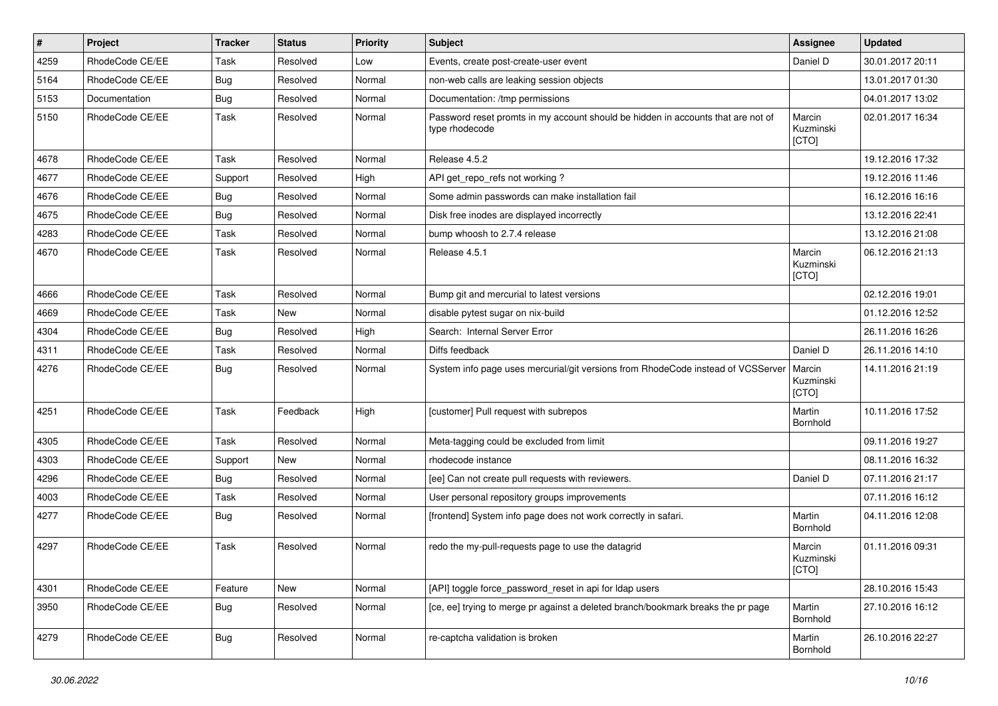| $\vert$ # | Project         | <b>Tracker</b> | <b>Status</b> | <b>Priority</b> | <b>Subject</b>                                                                                     | Assignee                     | <b>Updated</b>   |
|-----------|-----------------|----------------|---------------|-----------------|----------------------------------------------------------------------------------------------------|------------------------------|------------------|
| 4259      | RhodeCode CE/EE | Task           | Resolved      | Low             | Events, create post-create-user event                                                              | Daniel D                     | 30.01.2017 20:11 |
| 5164      | RhodeCode CE/EE | Bug            | Resolved      | Normal          | non-web calls are leaking session objects                                                          |                              | 13.01.2017 01:30 |
| 5153      | Documentation   | Bug            | Resolved      | Normal          | Documentation: /tmp permissions                                                                    |                              | 04.01.2017 13:02 |
| 5150      | RhodeCode CE/EE | Task           | Resolved      | Normal          | Password reset promts in my account should be hidden in accounts that are not of<br>type rhodecode | Marcin<br>Kuzminski<br>[CTO] | 02.01.2017 16:34 |
| 4678      | RhodeCode CE/EE | Task           | Resolved      | Normal          | Release 4.5.2                                                                                      |                              | 19.12.2016 17:32 |
| 4677      | RhodeCode CE/EE | Support        | Resolved      | High            | API get_repo_refs not working?                                                                     |                              | 19.12.2016 11:46 |
| 4676      | RhodeCode CE/EE | Bug            | Resolved      | Normal          | Some admin passwords can make installation fail                                                    |                              | 16.12.2016 16:16 |
| 4675      | RhodeCode CE/EE | Bug            | Resolved      | Normal          | Disk free inodes are displayed incorrectly                                                         |                              | 13.12.2016 22:41 |
| 4283      | RhodeCode CE/EE | Task           | Resolved      | Normal          | bump whoosh to 2.7.4 release                                                                       |                              | 13.12.2016 21:08 |
| 4670      | RhodeCode CE/EE | Task           | Resolved      | Normal          | Release 4.5.1                                                                                      | Marcin<br>Kuzminski<br>[CTO] | 06.12.2016 21:13 |
| 4666      | RhodeCode CE/EE | Task           | Resolved      | Normal          | Bump git and mercurial to latest versions                                                          |                              | 02.12.2016 19:01 |
| 4669      | RhodeCode CE/EE | Task           | New           | Normal          | disable pytest sugar on nix-build                                                                  |                              | 01.12.2016 12:52 |
| 4304      | RhodeCode CE/EE | Bug            | Resolved      | High            | Search: Internal Server Error                                                                      |                              | 26.11.2016 16:26 |
| 4311      | RhodeCode CE/EE | <b>Task</b>    | Resolved      | Normal          | Diffs feedback                                                                                     | Daniel D                     | 26.11.2016 14:10 |
| 4276      | RhodeCode CE/EE | Bug            | Resolved      | Normal          | System info page uses mercurial/git versions from RhodeCode instead of VCSServer                   | Marcin<br>Kuzminski<br>[CTO] | 14.11.2016 21:19 |
| 4251      | RhodeCode CE/EE | Task           | Feedback      | High            | [customer] Pull request with subrepos                                                              | Martin<br>Bornhold           | 10.11.2016 17:52 |
| 4305      | RhodeCode CE/EE | Task           | Resolved      | Normal          | Meta-tagging could be excluded from limit                                                          |                              | 09.11.2016 19:27 |
| 4303      | RhodeCode CE/EE | Support        | New           | Normal          | rhodecode instance                                                                                 |                              | 08.11.2016 16:32 |
| 4296      | RhodeCode CE/EE | Bug            | Resolved      | Normal          | [ee] Can not create pull requests with reviewers.                                                  | Daniel D                     | 07.11.2016 21:17 |
| 4003      | RhodeCode CE/EE | Task           | Resolved      | Normal          | User personal repository groups improvements                                                       |                              | 07.11.2016 16:12 |
| 4277      | RhodeCode CE/EE | Bug            | Resolved      | Normal          | [frontend] System info page does not work correctly in safari.                                     | Martin<br>Bornhold           | 04.11.2016 12:08 |
| 4297      | RhodeCode CE/EE | Task           | Resolved      | Normal          | redo the my-pull-requests page to use the datagrid                                                 | Marcin<br>Kuzminski<br>[CTO] | 01.11.2016 09:31 |
| 4301      | RhodeCode CE/EE | Feature        | New           | Normal          | [API] toggle force password reset in api for Idap users                                            |                              | 28.10.2016 15:43 |
| 3950      | RhodeCode CE/EE | Bug            | Resolved      | Normal          | [ce, ee] trying to merge pr against a deleted branch/bookmark breaks the pr page                   | Martin<br>Bornhold           | 27.10.2016 16:12 |
| 4279      | RhodeCode CE/EE | <b>Bug</b>     | Resolved      | Normal          | re-captcha validation is broken                                                                    | Martin<br>Bornhold           | 26.10.2016 22:27 |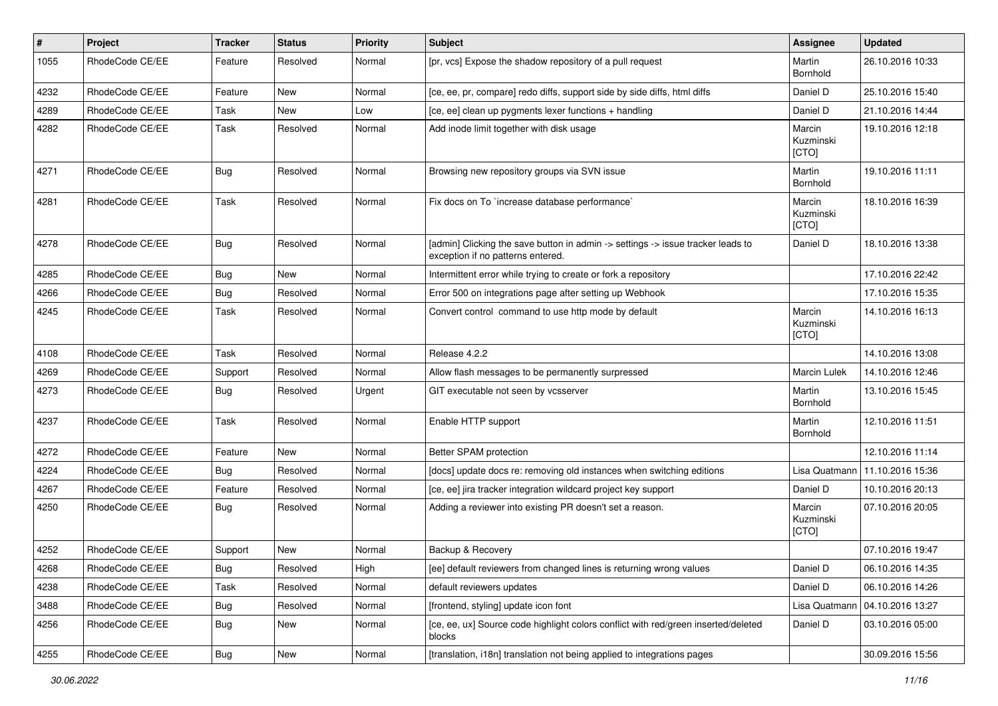| $\#$ | Project         | <b>Tracker</b> | <b>Status</b> | <b>Priority</b> | <b>Subject</b>                                                                                                       | Assignee                     | <b>Updated</b>   |
|------|-----------------|----------------|---------------|-----------------|----------------------------------------------------------------------------------------------------------------------|------------------------------|------------------|
| 1055 | RhodeCode CE/EE | Feature        | Resolved      | Normal          | [pr, vcs] Expose the shadow repository of a pull request                                                             | Martin<br>Bornhold           | 26.10.2016 10:33 |
| 4232 | RhodeCode CE/EE | Feature        | New           | Normal          | [ce, ee, pr, compare] redo diffs, support side by side diffs, html diffs                                             | Daniel D                     | 25.10.2016 15:40 |
| 4289 | RhodeCode CE/EE | Task           | New           | Low             | [ce, ee] clean up pygments lexer functions + handling                                                                | Daniel D                     | 21.10.2016 14:44 |
| 4282 | RhodeCode CE/EE | Task           | Resolved      | Normal          | Add inode limit together with disk usage                                                                             | Marcin<br>Kuzminski<br>[CTO] | 19.10.2016 12:18 |
| 4271 | RhodeCode CE/EE | Bug            | Resolved      | Normal          | Browsing new repository groups via SVN issue                                                                         | Martin<br>Bornhold           | 19.10.2016 11:11 |
| 4281 | RhodeCode CE/EE | Task           | Resolved      | Normal          | Fix docs on To `increase database performance`                                                                       | Marcin<br>Kuzminski<br>[CTO] | 18.10.2016 16:39 |
| 4278 | RhodeCode CE/EE | <b>Bug</b>     | Resolved      | Normal          | [admin] Clicking the save button in admin -> settings -> issue tracker leads to<br>exception if no patterns entered. | Daniel D                     | 18.10.2016 13:38 |
| 4285 | RhodeCode CE/EE | <b>Bug</b>     | New           | Normal          | Intermittent error while trying to create or fork a repository                                                       |                              | 17.10.2016 22:42 |
| 4266 | RhodeCode CE/EE | Bug            | Resolved      | Normal          | Error 500 on integrations page after setting up Webhook                                                              |                              | 17.10.2016 15:35 |
| 4245 | RhodeCode CE/EE | Task           | Resolved      | Normal          | Convert control command to use http mode by default                                                                  | Marcin<br>Kuzminski<br>[CTO] | 14.10.2016 16:13 |
| 4108 | RhodeCode CE/EE | Task           | Resolved      | Normal          | Release 4.2.2                                                                                                        |                              | 14.10.2016 13:08 |
| 4269 | RhodeCode CE/EE | Support        | Resolved      | Normal          | Allow flash messages to be permanently surpressed                                                                    | Marcin Lulek                 | 14.10.2016 12:46 |
| 4273 | RhodeCode CE/EE | Bug            | Resolved      | Urgent          | GIT executable not seen by vcsserver                                                                                 | Martin<br>Bornhold           | 13.10.2016 15:45 |
| 4237 | RhodeCode CE/EE | Task           | Resolved      | Normal          | Enable HTTP support                                                                                                  | Martin<br>Bornhold           | 12.10.2016 11:51 |
| 4272 | RhodeCode CE/EE | Feature        | New           | Normal          | Better SPAM protection                                                                                               |                              | 12.10.2016 11:14 |
| 4224 | RhodeCode CE/EE | <b>Bug</b>     | Resolved      | Normal          | [docs] update docs re: removing old instances when switching editions                                                | Lisa Quatmann                | 11.10.2016 15:36 |
| 4267 | RhodeCode CE/EE | Feature        | Resolved      | Normal          | [ce, ee] jira tracker integration wildcard project key support                                                       | Daniel D                     | 10.10.2016 20:13 |
| 4250 | RhodeCode CE/EE | <b>Bug</b>     | Resolved      | Normal          | Adding a reviewer into existing PR doesn't set a reason.                                                             | Marcin<br>Kuzminski<br>[CTO] | 07.10.2016 20:05 |
| 4252 | RhodeCode CE/EE | Support        | New           | Normal          | Backup & Recovery                                                                                                    |                              | 07.10.2016 19:47 |
| 4268 | RhodeCode CE/EE | <b>Bug</b>     | Resolved      | High            | [ee] default reviewers from changed lines is returning wrong values                                                  | Daniel D                     | 06.10.2016 14:35 |
| 4238 | RhodeCode CE/EE | Task           | Resolved      | Normal          | default reviewers updates                                                                                            | Daniel D                     | 06.10.2016 14:26 |
| 3488 | RhodeCode CE/EE | Bug            | Resolved      | Normal          | [frontend, styling] update icon font                                                                                 | Lisa Quatmann                | 04.10.2016 13:27 |
| 4256 | RhodeCode CE/EE | <b>Bug</b>     | New           | Normal          | [ce, ee, ux] Source code highlight colors conflict with red/green inserted/deleted<br>blocks                         | Daniel D                     | 03.10.2016 05:00 |
| 4255 | RhodeCode CE/EE | Bug            | New           | Normal          | [translation, i18n] translation not being applied to integrations pages                                              |                              | 30.09.2016 15:56 |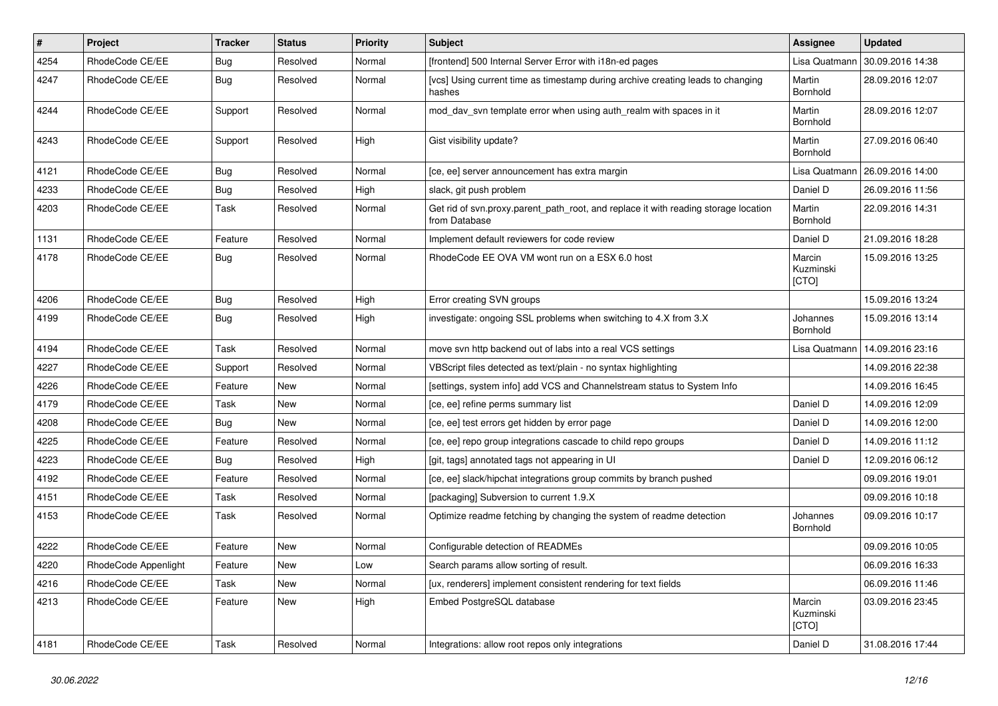| $\vert$ # | <b>Project</b>       | <b>Tracker</b> | <b>Status</b> | <b>Priority</b> | <b>Subject</b>                                                                                       | Assignee                     | <b>Updated</b>   |
|-----------|----------------------|----------------|---------------|-----------------|------------------------------------------------------------------------------------------------------|------------------------------|------------------|
| 4254      | RhodeCode CE/EE      | Bug            | Resolved      | Normal          | [frontend] 500 Internal Server Error with i18n-ed pages                                              | Lisa Quatmann                | 30.09.2016 14:38 |
| 4247      | RhodeCode CE/EE      | Bug            | Resolved      | Normal          | [vcs] Using current time as timestamp during archive creating leads to changing<br>hashes            | Martin<br>Bornhold           | 28.09.2016 12:07 |
| 4244      | RhodeCode CE/EE      | Support        | Resolved      | Normal          | mod_dav_svn template error when using auth_realm with spaces in it                                   | Martin<br>Bornhold           | 28.09.2016 12:07 |
| 4243      | RhodeCode CE/EE      | Support        | Resolved      | High            | Gist visibility update?                                                                              | Martin<br>Bornhold           | 27.09.2016 06:40 |
| 4121      | RhodeCode CE/EE      | Bug            | Resolved      | Normal          | [ce, ee] server announcement has extra margin                                                        | Lisa Quatmann                | 26.09.2016 14:00 |
| 4233      | RhodeCode CE/EE      | Bug            | Resolved      | High            | slack, git push problem                                                                              | Daniel D                     | 26.09.2016 11:56 |
| 4203      | RhodeCode CE/EE      | Task           | Resolved      | Normal          | Get rid of svn.proxy.parent_path_root, and replace it with reading storage location<br>from Database | Martin<br>Bornhold           | 22.09.2016 14:31 |
| 1131      | RhodeCode CE/EE      | Feature        | Resolved      | Normal          | Implement default reviewers for code review                                                          | Daniel D                     | 21.09.2016 18:28 |
| 4178      | RhodeCode CE/EE      | Bug            | Resolved      | Normal          | RhodeCode EE OVA VM wont run on a ESX 6.0 host                                                       | Marcin<br>Kuzminski<br>[CTO] | 15.09.2016 13:25 |
| 4206      | RhodeCode CE/EE      | <b>Bug</b>     | Resolved      | High            | Error creating SVN groups                                                                            |                              | 15.09.2016 13:24 |
| 4199      | RhodeCode CE/EE      | Bug            | Resolved      | High            | investigate: ongoing SSL problems when switching to 4.X from 3.X                                     | Johannes<br>Bornhold         | 15.09.2016 13:14 |
| 4194      | RhodeCode CE/EE      | Task           | Resolved      | Normal          | move svn http backend out of labs into a real VCS settings                                           | Lisa Quatmann                | 14.09.2016 23:16 |
| 4227      | RhodeCode CE/EE      | Support        | Resolved      | Normal          | VBScript files detected as text/plain - no syntax highlighting                                       |                              | 14.09.2016 22:38 |
| 4226      | RhodeCode CE/EE      | Feature        | New           | Normal          | [settings, system info] add VCS and Channelstream status to System Info                              |                              | 14.09.2016 16:45 |
| 4179      | RhodeCode CE/EE      | Task           | New           | Normal          | [ce, ee] refine perms summary list                                                                   | Daniel D                     | 14.09.2016 12:09 |
| 4208      | RhodeCode CE/EE      | Bug            | New           | Normal          | [ce, ee] test errors get hidden by error page                                                        | Daniel D                     | 14.09.2016 12:00 |
| 4225      | RhodeCode CE/EE      | Feature        | Resolved      | Normal          | [ce, ee] repo group integrations cascade to child repo groups                                        | Daniel D                     | 14.09.2016 11:12 |
| 4223      | RhodeCode CE/EE      | Bug            | Resolved      | High            | [git, tags] annotated tags not appearing in UI                                                       | Daniel D                     | 12.09.2016 06:12 |
| 4192      | RhodeCode CE/EE      | Feature        | Resolved      | Normal          | [ce, ee] slack/hipchat integrations group commits by branch pushed                                   |                              | 09.09.2016 19:01 |
| 4151      | RhodeCode CE/EE      | Task           | Resolved      | Normal          | [packaging] Subversion to current 1.9.X                                                              |                              | 09.09.2016 10:18 |
| 4153      | RhodeCode CE/EE      | Task           | Resolved      | Normal          | Optimize readme fetching by changing the system of readme detection                                  | Johannes<br>Bornhold         | 09.09.2016 10:17 |
| 4222      | RhodeCode CE/EE      | Feature        | New           | Normal          | Configurable detection of READMEs                                                                    |                              | 09.09.2016 10:05 |
| 4220      | RhodeCode Appenlight | Feature        | New           | Low             | Search params allow sorting of result.                                                               |                              | 06.09.2016 16:33 |
| 4216      | RhodeCode CE/EE      | Task           | New           | Normal          | [ux, renderers] implement consistent rendering for text fields                                       |                              | 06.09.2016 11:46 |
| 4213      | RhodeCode CE/EE      | Feature        | New           | High            | Embed PostgreSQL database                                                                            | Marcin<br>Kuzminski<br>[CTO] | 03.09.2016 23:45 |
| 4181      | RhodeCode CE/EE      | Task           | Resolved      | Normal          | Integrations: allow root repos only integrations                                                     | Daniel D                     | 31.08.2016 17:44 |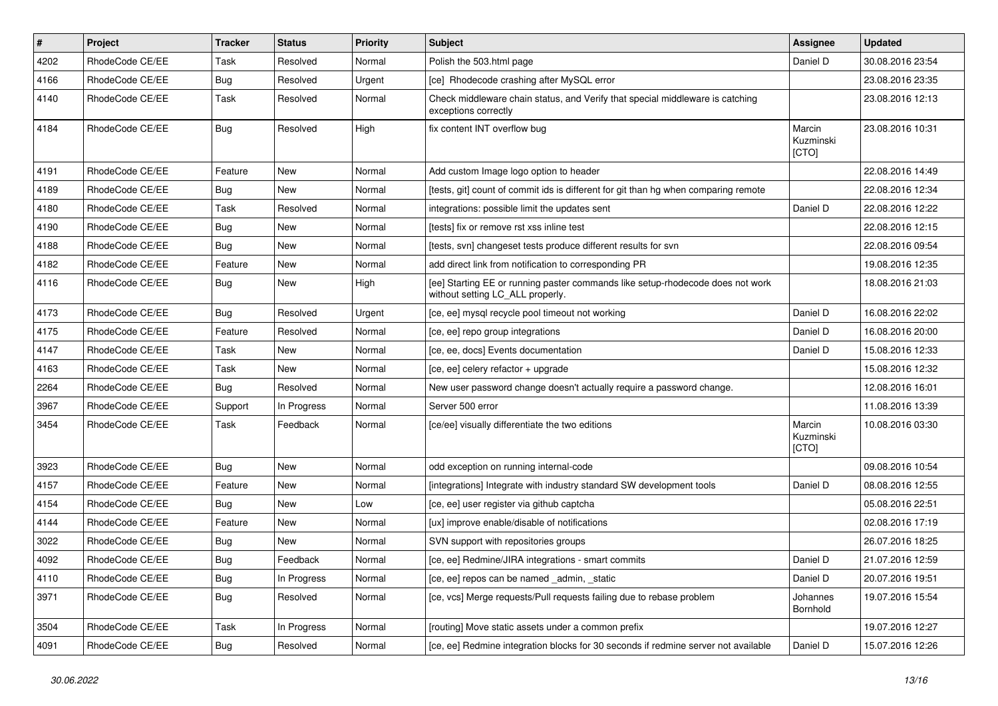| $\vert$ # | Project         | <b>Tracker</b> | <b>Status</b> | <b>Priority</b> | Subject                                                                                                            | <b>Assignee</b>              | <b>Updated</b>   |
|-----------|-----------------|----------------|---------------|-----------------|--------------------------------------------------------------------------------------------------------------------|------------------------------|------------------|
| 4202      | RhodeCode CE/EE | Task           | Resolved      | Normal          | Polish the 503.html page                                                                                           | Daniel D                     | 30.08.2016 23:54 |
| 4166      | RhodeCode CE/EE | Bug            | Resolved      | Urgent          | [ce] Rhodecode crashing after MySQL error                                                                          |                              | 23.08.2016 23:35 |
| 4140      | RhodeCode CE/EE | Task           | Resolved      | Normal          | Check middleware chain status, and Verify that special middleware is catching<br>exceptions correctly              |                              | 23.08.2016 12:13 |
| 4184      | RhodeCode CE/EE | Bug            | Resolved      | High            | fix content INT overflow bug                                                                                       | Marcin<br>Kuzminski<br>[CTO] | 23.08.2016 10:31 |
| 4191      | RhodeCode CE/EE | Feature        | <b>New</b>    | Normal          | Add custom Image logo option to header                                                                             |                              | 22.08.2016 14:49 |
| 4189      | RhodeCode CE/EE | Bug            | <b>New</b>    | Normal          | Itests, git] count of commit ids is different for git than hg when comparing remote                                |                              | 22.08.2016 12:34 |
| 4180      | RhodeCode CE/EE | Task           | Resolved      | Normal          | integrations: possible limit the updates sent                                                                      | Daniel D                     | 22.08.2016 12:22 |
| 4190      | RhodeCode CE/EE | Bug            | New           | Normal          | [tests] fix or remove rst xss inline test                                                                          |                              | 22.08.2016 12:15 |
| 4188      | RhodeCode CE/EE | Bug            | New           | Normal          | [tests, svn] changeset tests produce different results for svn                                                     |                              | 22.08.2016 09:54 |
| 4182      | RhodeCode CE/EE | Feature        | <b>New</b>    | Normal          | add direct link from notification to corresponding PR                                                              |                              | 19.08.2016 12:35 |
| 4116      | RhodeCode CE/EE | Bug            | New           | High            | [ee] Starting EE or running paster commands like setup-rhodecode does not work<br>without setting LC ALL properly. |                              | 18.08.2016 21:03 |
| 4173      | RhodeCode CE/EE | <b>Bug</b>     | Resolved      | Urgent          | [ce, ee] mysql recycle pool timeout not working                                                                    | Daniel D                     | 16.08.2016 22:02 |
| 4175      | RhodeCode CE/EE | Feature        | Resolved      | Normal          | [ce, ee] repo group integrations                                                                                   | Daniel D                     | 16.08.2016 20:00 |
| 4147      | RhodeCode CE/EE | Task           | <b>New</b>    | Normal          | [ce, ee, docs] Events documentation                                                                                | Daniel D                     | 15.08.2016 12:33 |
| 4163      | RhodeCode CE/EE | Task           | New           | Normal          | [ce, ee] celery refactor + upgrade                                                                                 |                              | 15.08.2016 12:32 |
| 2264      | RhodeCode CE/EE | Bug            | Resolved      | Normal          | New user password change doesn't actually require a password change.                                               |                              | 12.08.2016 16:01 |
| 3967      | RhodeCode CE/EE | Support        | In Progress   | Normal          | Server 500 error                                                                                                   |                              | 11.08.2016 13:39 |
| 3454      | RhodeCode CE/EE | Task           | Feedback      | Normal          | [ce/ee] visually differentiate the two editions                                                                    | Marcin<br>Kuzminski<br>[CTO] | 10.08.2016 03:30 |
| 3923      | RhodeCode CE/EE | Bug            | <b>New</b>    | Normal          | odd exception on running internal-code                                                                             |                              | 09.08.2016 10:54 |
| 4157      | RhodeCode CE/EE | Feature        | <b>New</b>    | Normal          | [integrations] Integrate with industry standard SW development tools                                               | Daniel D                     | 08.08.2016 12:55 |
| 4154      | RhodeCode CE/EE | Bug            | New           | Low             | [ce, ee] user register via github captcha                                                                          |                              | 05.08.2016 22:51 |
| 4144      | RhodeCode CE/EE | Feature        | New           | Normal          | [ux] improve enable/disable of notifications                                                                       |                              | 02.08.2016 17:19 |
| 3022      | RhodeCode CE/EE | Bug            | <b>New</b>    | Normal          | SVN support with repositories groups                                                                               |                              | 26.07.2016 18:25 |
| 4092      | RhodeCode CE/EE | Bug            | Feedback      | Normal          | [ce, ee] Redmine/JIRA integrations - smart commits                                                                 | Daniel D                     | 21.07.2016 12:59 |
| 4110      | RhodeCode CE/EE | Bug            | In Progress   | Normal          | [ce, ee] repos can be named _admin, _static                                                                        | Daniel D                     | 20.07.2016 19:51 |
| 3971      | RhodeCode CE/EE | <b>Bug</b>     | Resolved      | Normal          | [ce, vcs] Merge requests/Pull requests failing due to rebase problem                                               | Johannes<br>Bornhold         | 19.07.2016 15:54 |
| 3504      | RhodeCode CE/EE | Task           | In Progress   | Normal          | [routing] Move static assets under a common prefix                                                                 |                              | 19.07.2016 12:27 |
| 4091      | RhodeCode CE/EE | Bug            | Resolved      | Normal          | [ce, ee] Redmine integration blocks for 30 seconds if redmine server not available                                 | Daniel D                     | 15.07.2016 12:26 |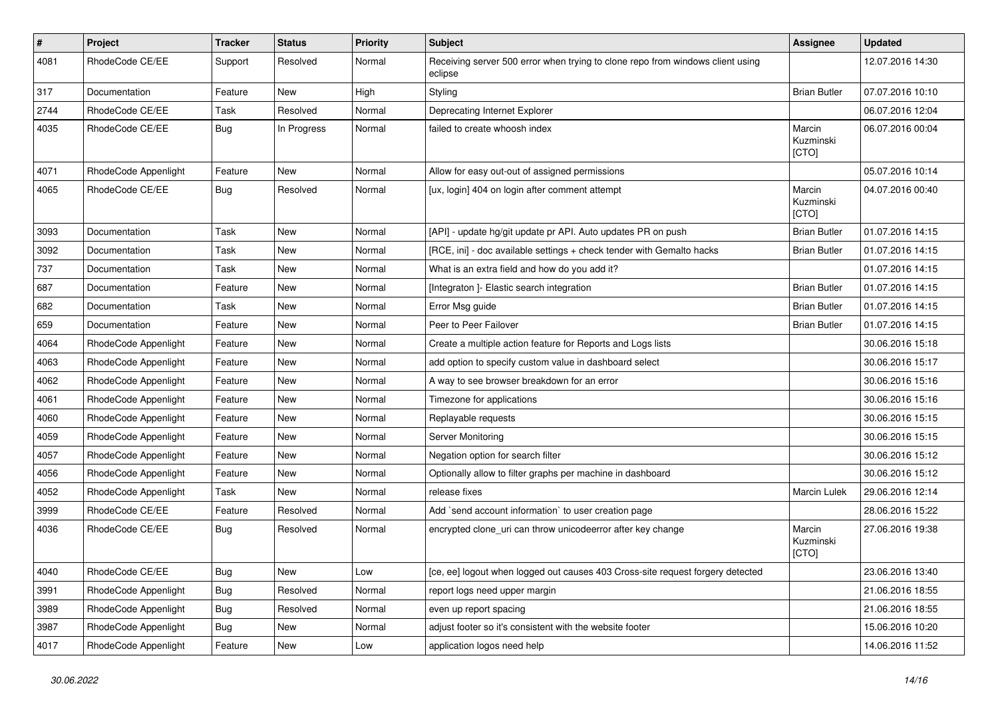| $\sharp$ | <b>Project</b>       | <b>Tracker</b> | <b>Status</b> | <b>Priority</b> | Subject                                                                                   | Assignee                     | <b>Updated</b>   |
|----------|----------------------|----------------|---------------|-----------------|-------------------------------------------------------------------------------------------|------------------------------|------------------|
| 4081     | RhodeCode CE/EE      | Support        | Resolved      | Normal          | Receiving server 500 error when trying to clone repo from windows client using<br>eclipse |                              | 12.07.2016 14:30 |
| 317      | Documentation        | Feature        | New           | High            | Styling                                                                                   | <b>Brian Butler</b>          | 07.07.2016 10:10 |
| 2744     | RhodeCode CE/EE      | Task           | Resolved      | Normal          | Deprecating Internet Explorer                                                             |                              | 06.07.2016 12:04 |
| 4035     | RhodeCode CE/EE      | Bug            | In Progress   | Normal          | failed to create whoosh index                                                             | Marcin<br>Kuzminski<br>[CTO] | 06.07.2016 00:04 |
| 4071     | RhodeCode Appenlight | Feature        | <b>New</b>    | Normal          | Allow for easy out-out of assigned permissions                                            |                              | 05.07.2016 10:14 |
| 4065     | RhodeCode CE/EE      | <b>Bug</b>     | Resolved      | Normal          | [ux, login] 404 on login after comment attempt                                            | Marcin<br>Kuzminski<br>[CTO] | 04.07.2016 00:40 |
| 3093     | Documentation        | Task           | New           | Normal          | [API] - update hg/git update pr API. Auto updates PR on push                              | <b>Brian Butler</b>          | 01.07.2016 14:15 |
| 3092     | Documentation        | Task           | New           | Normal          | [RCE, ini] - doc available settings + check tender with Gemalto hacks                     | <b>Brian Butler</b>          | 01.07.2016 14:15 |
| 737      | Documentation        | Task           | New           | Normal          | What is an extra field and how do you add it?                                             |                              | 01.07.2016 14:15 |
| 687      | Documentation        | Feature        | New           | Normal          | [Integraton] - Elastic search integration                                                 | <b>Brian Butler</b>          | 01.07.2016 14:15 |
| 682      | Documentation        | Task           | New           | Normal          | Error Msg guide                                                                           | <b>Brian Butler</b>          | 01.07.2016 14:15 |
| 659      | Documentation        | Feature        | New           | Normal          | Peer to Peer Failover                                                                     | <b>Brian Butler</b>          | 01.07.2016 14:15 |
| 4064     | RhodeCode Appenlight | Feature        | New           | Normal          | Create a multiple action feature for Reports and Logs lists                               |                              | 30.06.2016 15:18 |
| 4063     | RhodeCode Appenlight | Feature        | New           | Normal          | add option to specify custom value in dashboard select                                    |                              | 30.06.2016 15:17 |
| 4062     | RhodeCode Appenlight | Feature        | New           | Normal          | A way to see browser breakdown for an error                                               |                              | 30.06.2016 15:16 |
| 4061     | RhodeCode Appenlight | Feature        | New           | Normal          | Timezone for applications                                                                 |                              | 30.06.2016 15:16 |
| 4060     | RhodeCode Appenlight | Feature        | New           | Normal          | Replayable requests                                                                       |                              | 30.06.2016 15:15 |
| 4059     | RhodeCode Appenlight | Feature        | New           | Normal          | Server Monitoring                                                                         |                              | 30.06.2016 15:15 |
| 4057     | RhodeCode Appenlight | Feature        | New           | Normal          | Negation option for search filter                                                         |                              | 30.06.2016 15:12 |
| 4056     | RhodeCode Appenlight | Feature        | New           | Normal          | Optionally allow to filter graphs per machine in dashboard                                |                              | 30.06.2016 15:12 |
| 4052     | RhodeCode Appenlight | Task           | New           | Normal          | release fixes                                                                             | Marcin Lulek                 | 29.06.2016 12:14 |
| 3999     | RhodeCode CE/EE      | Feature        | Resolved      | Normal          | Add `send account information` to user creation page                                      |                              | 28.06.2016 15:22 |
| 4036     | RhodeCode CE/EE      | Bug            | Resolved      | Normal          | encrypted clone_uri can throw unicodeerror after key change                               | Marcin<br>Kuzminski<br>[CTO] | 27.06.2016 19:38 |
| 4040     | RhodeCode CE/EE      | Bug            | New           | Low             | [ce, ee] logout when logged out causes 403 Cross-site request forgery detected            |                              | 23.06.2016 13:40 |
| 3991     | RhodeCode Appenlight | Bug            | Resolved      | Normal          | report logs need upper margin                                                             |                              | 21.06.2016 18:55 |
| 3989     | RhodeCode Appenlight | Bug            | Resolved      | Normal          | even up report spacing                                                                    |                              | 21.06.2016 18:55 |
| 3987     | RhodeCode Appenlight | Bug            | New           | Normal          | adjust footer so it's consistent with the website footer                                  |                              | 15.06.2016 10:20 |
| 4017     | RhodeCode Appenlight | Feature        | New           | Low             | application logos need help                                                               |                              | 14.06.2016 11:52 |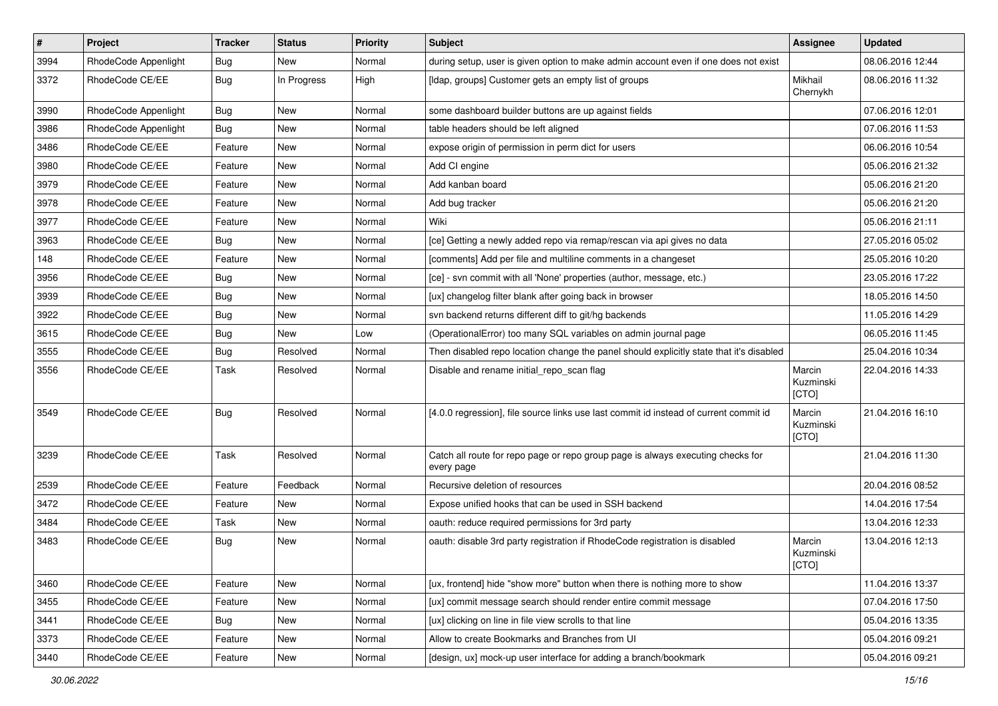| $\vert$ # | Project              | <b>Tracker</b> | <b>Status</b> | <b>Priority</b> | <b>Subject</b>                                                                                | <b>Assignee</b>              | <b>Updated</b>   |
|-----------|----------------------|----------------|---------------|-----------------|-----------------------------------------------------------------------------------------------|------------------------------|------------------|
| 3994      | RhodeCode Appenlight | Bug            | New           | Normal          | during setup, user is given option to make admin account even if one does not exist           |                              | 08.06.2016 12:44 |
| 3372      | RhodeCode CE/EE      | Bug            | In Progress   | High            | [Idap, groups] Customer gets an empty list of groups                                          | Mikhail<br>Chernykh          | 08.06.2016 11:32 |
| 3990      | RhodeCode Appenlight | Bug            | New           | Normal          | some dashboard builder buttons are up against fields                                          |                              | 07.06.2016 12:01 |
| 3986      | RhodeCode Appenlight | Bug            | <b>New</b>    | Normal          | table headers should be left aligned                                                          |                              | 07.06.2016 11:53 |
| 3486      | RhodeCode CE/EE      | Feature        | New           | Normal          | expose origin of permission in perm dict for users                                            |                              | 06.06.2016 10:54 |
| 3980      | RhodeCode CE/EE      | Feature        | New           | Normal          | Add CI engine                                                                                 |                              | 05.06.2016 21:32 |
| 3979      | RhodeCode CE/EE      | Feature        | <b>New</b>    | Normal          | Add kanban board                                                                              |                              | 05.06.2016 21:20 |
| 3978      | RhodeCode CE/EE      | Feature        | New           | Normal          | Add bug tracker                                                                               |                              | 05.06.2016 21:20 |
| 3977      | RhodeCode CE/EE      | Feature        | <b>New</b>    | Normal          | Wiki                                                                                          |                              | 05.06.2016 21:11 |
| 3963      | RhodeCode CE/EE      | Bug            | New           | Normal          | [ce] Getting a newly added repo via remap/rescan via api gives no data                        |                              | 27.05.2016 05:02 |
| 148       | RhodeCode CE/EE      | Feature        | New           | Normal          | [comments] Add per file and multiline comments in a changeset                                 |                              | 25.05.2016 10:20 |
| 3956      | RhodeCode CE/EE      | Bug            | <b>New</b>    | Normal          | [ce] - svn commit with all 'None' properties (author, message, etc.)                          |                              | 23.05.2016 17:22 |
| 3939      | RhodeCode CE/EE      | Bug            | New           | Normal          | [ux] changelog filter blank after going back in browser                                       |                              | 18.05.2016 14:50 |
| 3922      | RhodeCode CE/EE      | Bug            | <b>New</b>    | Normal          | svn backend returns different diff to git/hg backends                                         |                              | 11.05.2016 14:29 |
| 3615      | RhodeCode CE/EE      | Bug            | <b>New</b>    | Low             | (OperationalError) too many SQL variables on admin journal page                               |                              | 06.05.2016 11:45 |
| 3555      | RhodeCode CE/EE      | Bug            | Resolved      | Normal          | Then disabled repo location change the panel should explicitly state that it's disabled       |                              | 25.04.2016 10:34 |
| 3556      | RhodeCode CE/EE      | Task           | Resolved      | Normal          | Disable and rename initial repo scan flag                                                     | Marcin<br>Kuzminski<br>[CTO] | 22.04.2016 14:33 |
| 3549      | RhodeCode CE/EE      | Bug            | Resolved      | Normal          | [4.0.0 regression], file source links use last commit id instead of current commit id         | Marcin<br>Kuzminski<br>[CTO] | 21.04.2016 16:10 |
| 3239      | RhodeCode CE/EE      | Task           | Resolved      | Normal          | Catch all route for repo page or repo group page is always executing checks for<br>every page |                              | 21.04.2016 11:30 |
| 2539      | RhodeCode CE/EE      | Feature        | Feedback      | Normal          | Recursive deletion of resources                                                               |                              | 20.04.2016 08:52 |
| 3472      | RhodeCode CE/EE      | Feature        | New           | Normal          | Expose unified hooks that can be used in SSH backend                                          |                              | 14.04.2016 17:54 |
| 3484      | RhodeCode CE/EE      | Task           | New           | Normal          | oauth: reduce required permissions for 3rd party                                              |                              | 13.04.2016 12:33 |
| 3483      | RhodeCode CE/EE      | Bug            | New           | Normal          | oauth: disable 3rd party registration if RhodeCode registration is disabled                   | Marcin<br>Kuzminski<br>[CTO] | 13.04.2016 12:13 |
| 3460      | RhodeCode CE/EE      | Feature        | New           | Normal          | [ux, frontend] hide "show more" button when there is nothing more to show                     |                              | 11.04.2016 13:37 |
| 3455      | RhodeCode CE/EE      | Feature        | New           | Normal          | [ux] commit message search should render entire commit message                                |                              | 07.04.2016 17:50 |
| 3441      | RhodeCode CE/EE      | Bug            | New           | Normal          | [ux] clicking on line in file view scrolls to that line                                       |                              | 05.04.2016 13:35 |
| 3373      | RhodeCode CE/EE      | Feature        | New           | Normal          | Allow to create Bookmarks and Branches from UI                                                |                              | 05.04.2016 09:21 |
| 3440      | RhodeCode CE/EE      | Feature        | New           | Normal          | [design, ux] mock-up user interface for adding a branch/bookmark                              |                              | 05.04.2016 09:21 |